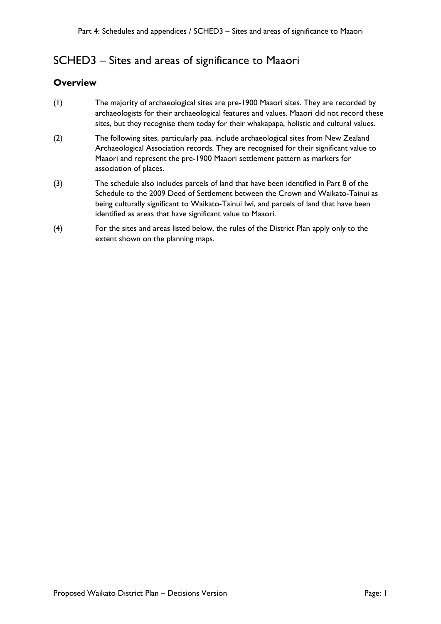## SCHED3 – Sites and areas of significance to Maaori

## **Overview**

- (1) The majority of archaeological sites are pre-1900 Maaori sites. They are recorded by archaeologists for their archaeological features and values. Maaori did not record these sites, but they recognise them today for their whakapapa, holistic and cultural values.
- (2) The following sites, particularly paa, include archaeological sites from New Zealand Archaeological Association records. They are recognised for their significant value to Maaori and represent the pre-1900 Maaori settlement pattern as markers for association of places.
- (3) The schedule also includes parcels of land that have been identified in Part 8 of the Schedule to the 2009 Deed of Settlement between the Crown and Waikato-Tainui as being culturally significant to Waikato-Tainui Iwi, and parcels of land that have been identified as areas that have significant value to Maaori.
- (4) For the sites and areas listed below, the rules of the District Plan apply only to the extent shown on the planning maps.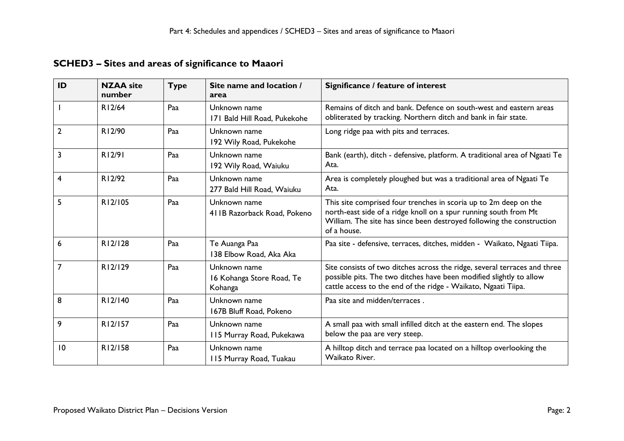## **SCHED3 – Sites and areas of significance to Maaori**

| ID             | <b>NZAA</b> site<br>number | <b>Type</b> | Site name and location /<br>area                     | Significance / feature of interest                                                                                                                                                                                           |
|----------------|----------------------------|-------------|------------------------------------------------------|------------------------------------------------------------------------------------------------------------------------------------------------------------------------------------------------------------------------------|
|                | R12/64                     | Paa         | Unknown name<br>171 Bald Hill Road, Pukekohe         | Remains of ditch and bank. Defence on south-west and eastern areas<br>obliterated by tracking. Northern ditch and bank in fair state.                                                                                        |
| $\overline{2}$ | R12/90                     | Paa         | Unknown name<br>192 Wily Road, Pukekohe              | Long ridge paa with pits and terraces.                                                                                                                                                                                       |
| 3              | R12/91                     | Paa         | Unknown name<br>192 Wily Road, Waiuku                | Bank (earth), ditch - defensive, platform. A traditional area of Ngaati Te<br>Ata.                                                                                                                                           |
| 4              | R12/92                     | Paa         | Unknown name<br>277 Bald Hill Road, Waiuku           | Area is completely ploughed but was a traditional area of Ngaati Te<br>Ata.                                                                                                                                                  |
| 5              | R12/105                    | Paa         | Unknown name<br>411B Razorback Road, Pokeno          | This site comprised four trenches in scoria up to 2m deep on the<br>north-east side of a ridge knoll on a spur running south from Mt<br>William. The site has since been destroyed following the construction<br>of a house. |
| 6              | R12/128                    | Paa         | Te Auanga Paa<br>138 Elbow Road, Aka Aka             | Paa site - defensive, terraces, ditches, midden - Waikato, Ngaati Tiipa.                                                                                                                                                     |
| $\overline{7}$ | R12/129                    | Paa         | Unknown name<br>16 Kohanga Store Road, Te<br>Kohanga | Site consists of two ditches across the ridge, several terraces and three<br>possible pits. The two ditches have been modified slightly to allow<br>cattle access to the end of the ridge - Waikato, Ngaati Tiipa.           |
| 8              | R12/140                    | Paa         | Unknown name<br>167B Bluff Road, Pokeno              | Paa site and midden/terraces.                                                                                                                                                                                                |
| 9              | R12/157                    | Paa         | Unknown name<br>115 Murray Road, Pukekawa            | A small paa with small infilled ditch at the eastern end. The slopes<br>below the paa are very steep.                                                                                                                        |
| 10             | R12/158                    | Paa         | Unknown name<br>115 Murray Road, Tuakau              | A hilltop ditch and terrace paa located on a hilltop overlooking the<br>Waikato River.                                                                                                                                       |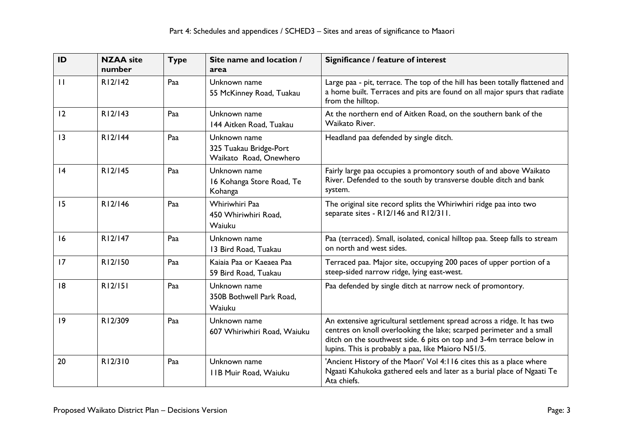| ID           | <b>NZAA</b> site<br>number | <b>Type</b> | Site name and location /<br>area                                 | Significance / feature of interest                                                                                                                                                                                                                                           |
|--------------|----------------------------|-------------|------------------------------------------------------------------|------------------------------------------------------------------------------------------------------------------------------------------------------------------------------------------------------------------------------------------------------------------------------|
| $\mathbf{H}$ | R12/142                    | Paa         | Unknown name<br>55 McKinney Road, Tuakau                         | Large paa - pit, terrace. The top of the hill has been totally flattened and<br>a home built. Terraces and pits are found on all major spurs that radiate<br>from the hilltop.                                                                                               |
| 12           | R12/143                    | Paa         | Unknown name<br>144 Aitken Road, Tuakau                          | At the northern end of Aitken Road, on the southern bank of the<br>Waikato River.                                                                                                                                                                                            |
| 3            | R12/144                    | Paa         | Unknown name<br>325 Tuakau Bridge-Port<br>Waikato Road, Onewhero | Headland paa defended by single ditch.                                                                                                                                                                                                                                       |
| 4            | R12/145                    | Paa         | Unknown name<br>16 Kohanga Store Road, Te<br>Kohanga             | Fairly large paa occupies a promontory south of and above Waikato<br>River. Defended to the south by transverse double ditch and bank<br>system.                                                                                                                             |
| 15           | R12/146                    | Paa         | Whiriwhiri Paa<br>450 Whiriwhiri Road,<br>Waiuku                 | The original site record splits the Whiriwhiri ridge paa into two<br>separate sites - R12/146 and R12/311.                                                                                                                                                                   |
| 16           | R12/147                    | Paa         | Unknown name<br>13 Bird Road, Tuakau                             | Paa (terraced). Small, isolated, conical hilltop paa. Steep falls to stream<br>on north and west sides.                                                                                                                                                                      |
| 17           | R12/150                    | Paa         | Kaiaia Paa or Kaeaea Paa<br>59 Bird Road, Tuakau                 | Terraced paa. Major site, occupying 200 paces of upper portion of a<br>steep-sided narrow ridge, lying east-west.                                                                                                                                                            |
| 8            | R12/151                    | Paa         | Unknown name<br>350B Bothwell Park Road,<br>Waiuku               | Paa defended by single ditch at narrow neck of promontory.                                                                                                                                                                                                                   |
| 19           | R12/309                    | Paa         | Unknown name<br>607 Whiriwhiri Road, Waiuku                      | An extensive agricultural settlement spread across a ridge. It has two<br>centres on knoll overlooking the lake; scarped perimeter and a small<br>ditch on the southwest side. 6 pits on top and 3-4m terrace below in<br>lupins. This is probably a paa, like Maioro N51/5. |
| 20           | R12/310                    | Paa         | Unknown name<br><b>IIB Muir Road, Waiuku</b>                     | 'Ancient History of the Maori' Vol 4:116 cites this as a place where<br>Ngaati Kahukoka gathered eels and later as a burial place of Ngaati Te<br>Ata chiefs.                                                                                                                |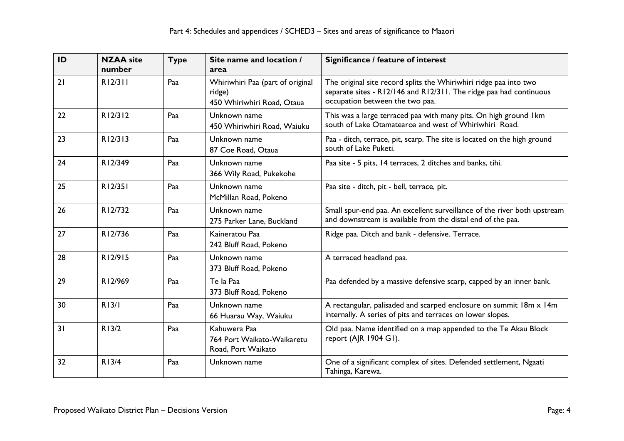| ID | <b>NZAA</b> site<br>number | <b>Type</b> | Site name and location /<br>area                                         | Significance / feature of interest                                                                                                                                         |
|----|----------------------------|-------------|--------------------------------------------------------------------------|----------------------------------------------------------------------------------------------------------------------------------------------------------------------------|
| 21 | R12/311                    | Paa         | Whiriwhiri Paa (part of original<br>ridge)<br>450 Whiriwhiri Road, Otaua | The original site record splits the Whiriwhiri ridge paa into two<br>separate sites - R12/146 and R12/311. The ridge paa had continuous<br>occupation between the two paa. |
| 22 | R12/312                    | Paa         | Unknown name<br>450 Whiriwhiri Road, Waiuku                              | This was a large terraced paa with many pits. On high ground Ikm<br>south of Lake Otamatearoa and west of Whiriwhiri Road.                                                 |
| 23 | R12/313                    | Paa         | Unknown name<br>87 Coe Road, Otaua                                       | Paa - ditch, terrace, pit, scarp. The site is located on the high ground<br>south of Lake Puketi.                                                                          |
| 24 | R12/349                    | Paa         | Unknown name<br>366 Wily Road, Pukekohe                                  | Paa site - 5 pits, 14 terraces, 2 ditches and banks, tihi.                                                                                                                 |
| 25 | R12/351                    | Paa         | Unknown name<br>McMillan Road, Pokeno                                    | Paa site - ditch, pit - bell, terrace, pit.                                                                                                                                |
| 26 | R12/732                    | Paa         | Unknown name<br>275 Parker Lane, Buckland                                | Small spur-end paa. An excellent surveillance of the river both upstream<br>and downstream is available from the distal end of the paa.                                    |
| 27 | R12/736                    | Paa         | Kaineratou Paa<br>242 Bluff Road, Pokeno                                 | Ridge paa. Ditch and bank - defensive. Terrace.                                                                                                                            |
| 28 | R12/915                    | Paa         | Unknown name<br>373 Bluff Road, Pokeno                                   | A terraced headland paa.                                                                                                                                                   |
| 29 | R12/969                    | Paa         | Te la Paa<br>373 Bluff Road, Pokeno                                      | Paa defended by a massive defensive scarp, capped by an inner bank.                                                                                                        |
| 30 | R13/I                      | Paa         | Unknown name<br>66 Huarau Way, Waiuku                                    | A rectangular, palisaded and scarped enclosure on summit 18m x 14m<br>internally. A series of pits and terraces on lower slopes.                                           |
| 31 | R13/2                      | Paa         | Kahuwera Paa<br>764 Port Waikato-Waikaretu<br>Road, Port Waikato         | Old paa. Name identified on a map appended to the Te Akau Block<br>report (AJR 1904 G1).                                                                                   |
| 32 | R13/4                      | Paa         | Unknown name                                                             | One of a significant complex of sites. Defended settlement, Ngaati<br>Tahinga, Karewa.                                                                                     |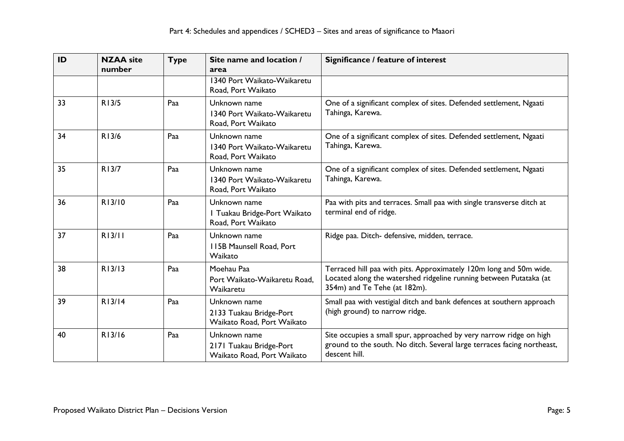| ID | <b>NZAA</b> site<br>number | <b>Type</b> | Site name and location /<br>area                                      | Significance / feature of interest                                                                                                                                       |
|----|----------------------------|-------------|-----------------------------------------------------------------------|--------------------------------------------------------------------------------------------------------------------------------------------------------------------------|
|    |                            |             | 1340 Port Waikato-Waikaretu<br>Road, Port Waikato                     |                                                                                                                                                                          |
| 33 | R13/5                      | Paa         | Unknown name<br>1340 Port Waikato-Waikaretu<br>Road, Port Waikato     | One of a significant complex of sites. Defended settlement, Ngaati<br>Tahinga, Karewa.                                                                                   |
| 34 | R13/6                      | Paa         | Unknown name<br>1340 Port Waikato-Waikaretu<br>Road, Port Waikato     | One of a significant complex of sites. Defended settlement, Ngaati<br>Tahinga, Karewa.                                                                                   |
| 35 | R13/7                      | Paa         | Unknown name<br>1340 Port Waikato-Waikaretu<br>Road, Port Waikato     | One of a significant complex of sites. Defended settlement, Ngaati<br>Tahinga, Karewa.                                                                                   |
| 36 | R13/10                     | Paa         | Unknown name<br>I Tuakau Bridge-Port Waikato<br>Road, Port Waikato    | Paa with pits and terraces. Small paa with single transverse ditch at<br>terminal end of ridge.                                                                          |
| 37 | R13/11                     | Paa         | Unknown name<br>115B Maunsell Road, Port<br>Waikato                   | Ridge paa. Ditch- defensive, midden, terrace.                                                                                                                            |
| 38 | R13/13                     | Paa         | Moehau Paa<br>Port Waikato-Waikaretu Road,<br>Waikaretu               | Terraced hill paa with pits. Approximately 120m long and 50m wide.<br>Located along the watershed ridgeline running between Putataka (at<br>354m) and Te Tehe (at 182m). |
| 39 | R13/14                     | Paa         | Unknown name<br>2133 Tuakau Bridge-Port<br>Waikato Road, Port Waikato | Small paa with vestigial ditch and bank defences at southern approach<br>(high ground) to narrow ridge.                                                                  |
| 40 | R13/16                     | Paa         | Unknown name<br>2171 Tuakau Bridge-Port<br>Waikato Road, Port Waikato | Site occupies a small spur, approached by very narrow ridge on high<br>ground to the south. No ditch. Several large terraces facing northeast,<br>descent hill.          |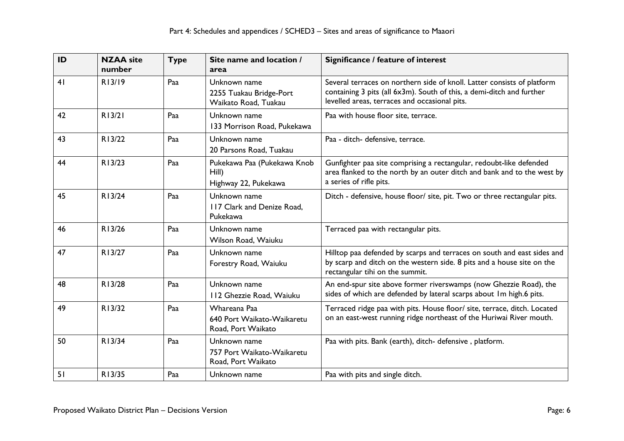| ID | <b>NZAA</b> site<br>number | <b>Type</b> | Site name and location /<br>area                                 | Significance / feature of interest                                                                                                                                                                |
|----|----------------------------|-------------|------------------------------------------------------------------|---------------------------------------------------------------------------------------------------------------------------------------------------------------------------------------------------|
| 41 | R13/19                     | Paa         | Unknown name<br>2255 Tuakau Bridge-Port<br>Waikato Road, Tuakau  | Several terraces on northern side of knoll. Latter consists of platform<br>containing 3 pits (all 6x3m). South of this, a demi-ditch and further<br>levelled areas, terraces and occasional pits. |
| 42 | R13/21                     | Paa         | Unknown name<br>133 Morrison Road, Pukekawa                      | Paa with house floor site, terrace.                                                                                                                                                               |
| 43 | R13/22                     | Paa         | Unknown name<br>20 Parsons Road, Tuakau                          | Paa - ditch- defensive, terrace.                                                                                                                                                                  |
| 44 | R13/23                     | Paa         | Pukekawa Paa (Pukekawa Knob<br>$Hill$ )<br>Highway 22, Pukekawa  | Gunfighter paa site comprising a rectangular, redoubt-like defended<br>area flanked to the north by an outer ditch and bank and to the west by<br>a series of rifle pits.                         |
| 45 | R13/24                     | Paa         | Unknown name<br>117 Clark and Denize Road,<br>Pukekawa           | Ditch - defensive, house floor/ site, pit. Two or three rectangular pits.                                                                                                                         |
| 46 | R13/26                     | Paa         | Unknown name<br>Wilson Road, Waiuku                              | Terraced paa with rectangular pits.                                                                                                                                                               |
| 47 | R13/27                     | Paa         | Unknown name<br>Forestry Road, Waiuku                            | Hilltop paa defended by scarps and terraces on south and east sides and<br>by scarp and ditch on the western side. 8 pits and a house site on the<br>rectangular tihi on the summit.              |
| 48 | R13/28                     | Paa         | Unknown name<br>112 Ghezzie Road, Waiuku                         | An end-spur site above former riverswamps (now Ghezzie Road), the<br>sides of which are defended by lateral scarps about Im high.6 pits.                                                          |
| 49 | R13/32                     | Paa         | Whareana Paa<br>640 Port Waikato-Waikaretu<br>Road, Port Waikato | Terraced ridge paa with pits. House floor/ site, terrace, ditch. Located<br>on an east-west running ridge northeast of the Huriwai River mouth.                                                   |
| 50 | R13/34                     | Paa         | Unknown name<br>757 Port Waikato-Waikaretu<br>Road, Port Waikato | Paa with pits. Bank (earth), ditch- defensive, platform.                                                                                                                                          |
| 51 | R13/35                     | Paa         | Unknown name                                                     | Paa with pits and single ditch.                                                                                                                                                                   |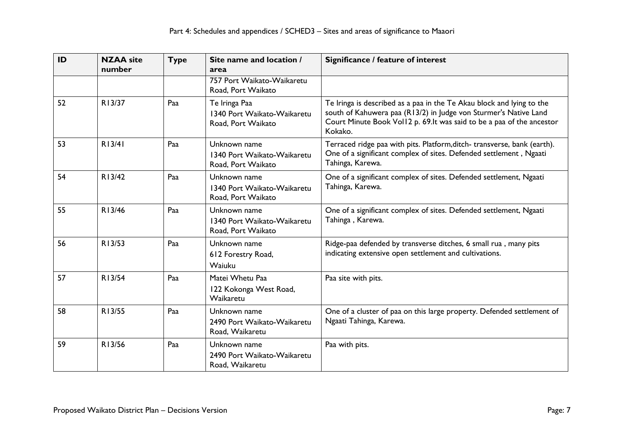| ID | <b>NZAA</b> site<br>number | <b>Type</b> | Site name and location /<br>area                                   | Significance / feature of interest                                                                                                                                                                                             |
|----|----------------------------|-------------|--------------------------------------------------------------------|--------------------------------------------------------------------------------------------------------------------------------------------------------------------------------------------------------------------------------|
|    |                            |             | 757 Port Waikato-Waikaretu<br>Road, Port Waikato                   |                                                                                                                                                                                                                                |
| 52 | R13/37                     | Paa         | Te Iringa Paa<br>1340 Port Waikato-Waikaretu<br>Road, Port Waikato | Te Iringa is described as a paa in the Te Akau block and lying to the<br>south of Kahuwera paa (R13/2) in Judge von Sturmer's Native Land<br>Court Minute Book Vol12 p. 69. It was said to be a paa of the ancestor<br>Kokako. |
| 53 | R13/41                     | Paa         | Unknown name<br>1340 Port Waikato-Waikaretu<br>Road, Port Waikato  | Terraced ridge paa with pits. Platform, ditch-transverse, bank (earth).<br>One of a significant complex of sites. Defended settlement, Ngaati<br>Tahinga, Karewa.                                                              |
| 54 | R13/42                     | Paa         | Unknown name<br>1340 Port Waikato-Waikaretu<br>Road, Port Waikato  | One of a significant complex of sites. Defended settlement, Ngaati<br>Tahinga, Karewa.                                                                                                                                         |
| 55 | R13/46                     | Paa         | Unknown name<br>1340 Port Waikato-Waikaretu<br>Road, Port Waikato  | One of a significant complex of sites. Defended settlement, Ngaati<br>Tahinga, Karewa.                                                                                                                                         |
| 56 | R13/53                     | Paa         | Unknown name<br>612 Forestry Road,<br>Waiuku                       | Ridge-paa defended by transverse ditches, 6 small rua, many pits<br>indicating extensive open settlement and cultivations.                                                                                                     |
| 57 | R13/54                     | Paa         | Matei Whetu Paa<br>122 Kokonga West Road,<br>Waikaretu             | Paa site with pits.                                                                                                                                                                                                            |
| 58 | R13/55                     | Paa         | Unknown name<br>2490 Port Waikato-Waikaretu<br>Road, Waikaretu     | One of a cluster of paa on this large property. Defended settlement of<br>Ngaati Tahinga, Karewa.                                                                                                                              |
| 59 | R13/56                     | Paa         | Unknown name<br>2490 Port Waikato-Waikaretu<br>Road, Waikaretu     | Paa with pits.                                                                                                                                                                                                                 |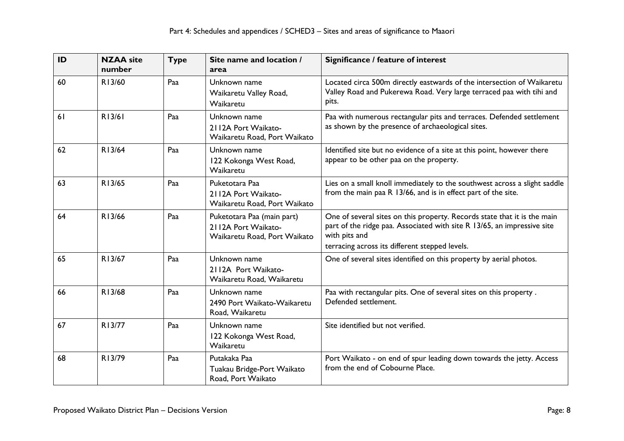| ID | <b>NZAA</b> site<br>number | <b>Type</b> | Site name and location /<br>area                                                  | Significance / feature of interest                                                                                                                                                                                     |
|----|----------------------------|-------------|-----------------------------------------------------------------------------------|------------------------------------------------------------------------------------------------------------------------------------------------------------------------------------------------------------------------|
| 60 | R13/60                     | Paa         | Unknown name<br>Waikaretu Valley Road,<br>Waikaretu                               | Located circa 500m directly eastwards of the intersection of Waikaretu<br>Valley Road and Pukerewa Road. Very large terraced paa with tihi and<br>pits.                                                                |
| 61 | R13/61                     | Paa         | Unknown name<br>2112A Port Waikato-<br>Waikaretu Road, Port Waikato               | Paa with numerous rectangular pits and terraces. Defended settlement<br>as shown by the presence of archaeological sites.                                                                                              |
| 62 | R13/64                     | Paa         | Unknown name<br>122 Kokonga West Road,<br>Waikaretu                               | Identified site but no evidence of a site at this point, however there<br>appear to be other paa on the property.                                                                                                      |
| 63 | R13/65                     | Paa         | Puketotara Paa<br>2112A Port Waikato-<br>Waikaretu Road, Port Waikato             | Lies on a small knoll immediately to the southwest across a slight saddle<br>from the main paa R 13/66, and is in effect part of the site.                                                                             |
| 64 | R13/66                     | Paa         | Puketotara Paa (main part)<br>2112A Port Waikato-<br>Waikaretu Road, Port Waikato | One of several sites on this property. Records state that it is the main<br>part of the ridge paa. Associated with site R 13/65, an impressive site<br>with pits and<br>terracing across its different stepped levels. |
| 65 | R13/67                     | Paa         | Unknown name<br>2112A Port Waikato-<br>Waikaretu Road, Waikaretu                  | One of several sites identified on this property by aerial photos.                                                                                                                                                     |
| 66 | R13/68                     | Paa         | Unknown name<br>2490 Port Waikato-Waikaretu<br>Road, Waikaretu                    | Paa with rectangular pits. One of several sites on this property.<br>Defended settlement.                                                                                                                              |
| 67 | R13/77                     | Paa         | Unknown name<br>122 Kokonga West Road,<br>Waikaretu                               | Site identified but not verified.                                                                                                                                                                                      |
| 68 | R13/79                     | Paa         | Putakaka Paa<br>Tuakau Bridge-Port Waikato<br>Road, Port Waikato                  | Port Waikato - on end of spur leading down towards the jetty. Access<br>from the end of Cobourne Place.                                                                                                                |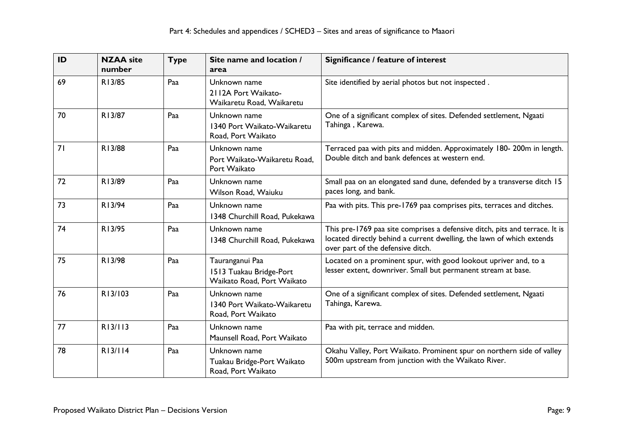| ID | <b>NZAA</b> site<br>number | <b>Type</b> | Site name and location /<br>area                                         | Significance / feature of interest                                                                                                                                                        |
|----|----------------------------|-------------|--------------------------------------------------------------------------|-------------------------------------------------------------------------------------------------------------------------------------------------------------------------------------------|
| 69 | R13/85                     | Paa         | Unknown name<br>2112A Port Waikato-<br>Waikaretu Road, Waikaretu         | Site identified by aerial photos but not inspected.                                                                                                                                       |
| 70 | R13/87                     | Paa         | Unknown name<br>1340 Port Waikato-Waikaretu<br>Road, Port Waikato        | One of a significant complex of sites. Defended settlement, Ngaati<br>Tahinga, Karewa.                                                                                                    |
| 71 | R13/88                     | Paa         | Unknown name<br>Port Waikato-Waikaretu Road,<br>Port Waikato             | Terraced paa with pits and midden. Approximately 180-200m in length.<br>Double ditch and bank defences at western end.                                                                    |
| 72 | R13/89                     | Paa         | Unknown name<br>Wilson Road, Waiuku                                      | Small paa on an elongated sand dune, defended by a transverse ditch 15<br>paces long, and bank.                                                                                           |
| 73 | R13/94                     | Paa         | Unknown name<br>1348 Churchill Road, Pukekawa                            | Paa with pits. This pre-1769 paa comprises pits, terraces and ditches.                                                                                                                    |
| 74 | R13/95                     | Paa         | Unknown name<br>1348 Churchill Road, Pukekawa                            | This pre-1769 paa site comprises a defensive ditch, pits and terrace. It is<br>located directly behind a current dwelling, the lawn of which extends<br>over part of the defensive ditch. |
| 75 | R13/98                     | Paa         | Tauranganui Paa<br>1513 Tuakau Bridge-Port<br>Waikato Road, Port Waikato | Located on a prominent spur, with good lookout upriver and, to a<br>lesser extent, downriver. Small but permanent stream at base.                                                         |
| 76 | R13/103                    | Paa         | Unknown name<br>1340 Port Waikato-Waikaretu<br>Road, Port Waikato        | One of a significant complex of sites. Defended settlement, Ngaati<br>Tahinga, Karewa.                                                                                                    |
| 77 | R13/113                    | Paa         | Unknown name<br>Maunsell Road, Port Waikato                              | Paa with pit, terrace and midden.                                                                                                                                                         |
| 78 | R13/114                    | Paa         | Unknown name<br>Tuakau Bridge-Port Waikato<br>Road, Port Waikato         | Okahu Valley, Port Waikato. Prominent spur on northern side of valley<br>500m upstream from junction with the Waikato River.                                                              |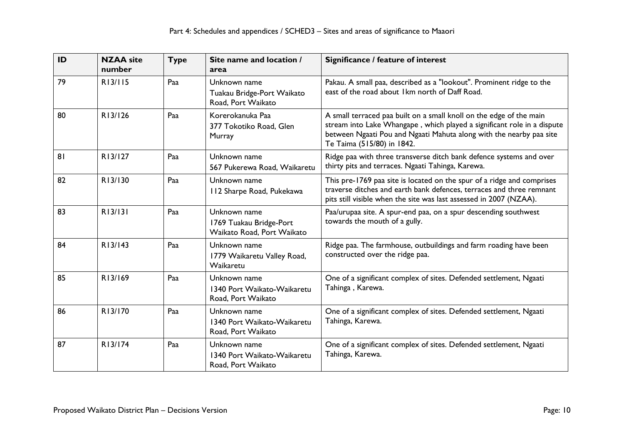| ID | <b>NZAA</b> site<br>number | <b>Type</b> | Site name and location /<br>area                                      | Significance / feature of interest                                                                                                                                                                                                                  |
|----|----------------------------|-------------|-----------------------------------------------------------------------|-----------------------------------------------------------------------------------------------------------------------------------------------------------------------------------------------------------------------------------------------------|
| 79 | R13/115                    | Paa         | Unknown name<br>Tuakau Bridge-Port Waikato<br>Road, Port Waikato      | Pakau. A small paa, described as a "lookout". Prominent ridge to the<br>east of the road about 1km north of Daff Road.                                                                                                                              |
| 80 | R13/126                    | Paa         | Korerokanuka Paa<br>377 Tokotiko Road, Glen<br>Murray                 | A small terraced paa built on a small knoll on the edge of the main<br>stream into Lake Whangape, which played a significant role in a dispute<br>between Ngaati Pou and Ngaati Mahuta along with the nearby paa site<br>Te Taima (515/80) in 1842. |
| 81 | R13/127                    | Paa         | Unknown name<br>567 Pukerewa Road, Waikaretu                          | Ridge paa with three transverse ditch bank defence systems and over<br>thirty pits and terraces. Ngaati Tahinga, Karewa.                                                                                                                            |
| 82 | R13/130                    | Paa         | Unknown name<br>112 Sharpe Road, Pukekawa                             | This pre-1769 paa site is located on the spur of a ridge and comprises<br>traverse ditches and earth bank defences, terraces and three remnant<br>pits still visible when the site was last assessed in 2007 (NZAA).                                |
| 83 | R13/131                    | Paa         | Unknown name<br>1769 Tuakau Bridge-Port<br>Waikato Road, Port Waikato | Paa/urupaa site. A spur-end paa, on a spur descending southwest<br>towards the mouth of a gully.                                                                                                                                                    |
| 84 | R13/143                    | Paa         | Unknown name<br>1779 Waikaretu Valley Road,<br>Waikaretu              | Ridge paa. The farmhouse, outbuildings and farm roading have been<br>constructed over the ridge paa.                                                                                                                                                |
| 85 | R13/169                    | Paa         | Unknown name<br>1340 Port Waikato-Waikaretu<br>Road, Port Waikato     | One of a significant complex of sites. Defended settlement, Ngaati<br>Tahinga, Karewa.                                                                                                                                                              |
| 86 | R13/170                    | Paa         | Unknown name<br>1340 Port Waikato-Waikaretu<br>Road, Port Waikato     | One of a significant complex of sites. Defended settlement, Ngaati<br>Tahinga, Karewa.                                                                                                                                                              |
| 87 | R13/174                    | Paa         | Unknown name<br>1340 Port Waikato-Waikaretu<br>Road, Port Waikato     | One of a significant complex of sites. Defended settlement, Ngaati<br>Tahinga, Karewa.                                                                                                                                                              |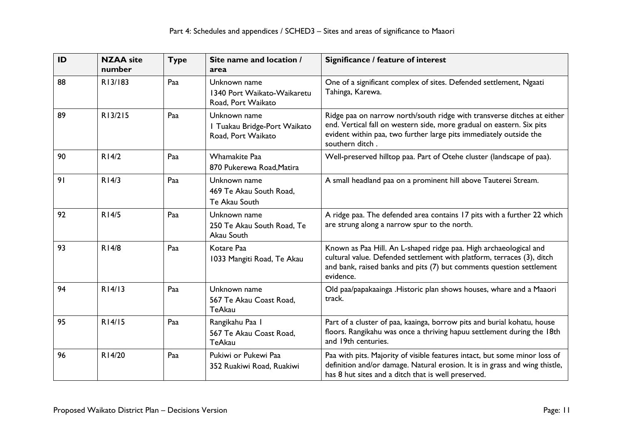| ID | <b>NZAA</b> site<br>number | <b>Type</b> | Site name and location /<br>area                                   | Significance / feature of interest                                                                                                                                                                                                        |
|----|----------------------------|-------------|--------------------------------------------------------------------|-------------------------------------------------------------------------------------------------------------------------------------------------------------------------------------------------------------------------------------------|
| 88 | R13/183                    | Paa         | Unknown name<br>1340 Port Waikato-Waikaretu<br>Road, Port Waikato  | One of a significant complex of sites. Defended settlement, Ngaati<br>Tahinga, Karewa.                                                                                                                                                    |
| 89 | R13/215                    | Paa         | Unknown name<br>I Tuakau Bridge-Port Waikato<br>Road, Port Waikato | Ridge paa on narrow north/south ridge with transverse ditches at either<br>end. Vertical fall on western side, more gradual on eastern. Six pits<br>evident within paa, two further large pits immediately outside the<br>southern ditch. |
| 90 | R14/2                      | Paa         | <b>Whamakite Paa</b><br>870 Pukerewa Road, Matira                  | Well-preserved hilltop paa. Part of Otehe cluster (landscape of paa).                                                                                                                                                                     |
| 91 | R14/3                      | Paa         | Unknown name<br>469 Te Akau South Road,<br>Te Akau South           | A small headland paa on a prominent hill above Tauterei Stream.                                                                                                                                                                           |
| 92 | R14/5                      | Paa         | Unknown name<br>250 Te Akau South Road, Te<br>Akau South           | A ridge paa. The defended area contains 17 pits with a further 22 which<br>are strung along a narrow spur to the north.                                                                                                                   |
| 93 | R14/8                      | Paa         | Kotare Paa<br>1033 Mangiti Road, Te Akau                           | Known as Paa Hill. An L-shaped ridge paa. High archaeological and<br>cultural value. Defended settlement with platform, terraces (3), ditch<br>and bank, raised banks and pits (7) but comments question settlement<br>evidence.          |
| 94 | R14/13                     | Paa         | Unknown name<br>567 Te Akau Coast Road,<br><b>TeAkau</b>           | Old paa/papakaainga .Historic plan shows houses, whare and a Maaori<br>track.                                                                                                                                                             |
| 95 | R14/15                     | Paa         | Rangikahu Paa I<br>567 Te Akau Coast Road,<br><b>TeAkau</b>        | Part of a cluster of paa, kaainga, borrow pits and burial kohatu, house<br>floors. Rangikahu was once a thriving hapuu settlement during the 18th<br>and 19th centuries.                                                                  |
| 96 | R14/20                     | Paa         | Pukiwi or Pukewi Paa<br>352 Ruakiwi Road, Ruakiwi                  | Paa with pits. Majority of visible features intact, but some minor loss of<br>definition and/or damage. Natural erosion. It is in grass and wing thistle,<br>has 8 hut sites and a ditch that is well preserved.                          |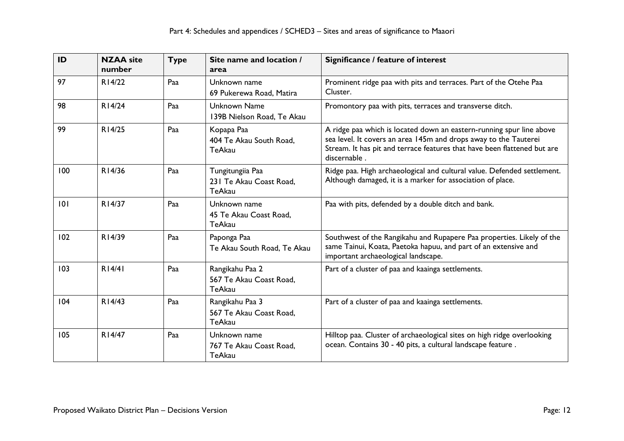| ID  | <b>NZAA</b> site<br>number | <b>Type</b> | Site name and location /<br>area                             | Significance / feature of interest                                                                                                                                                                                                   |
|-----|----------------------------|-------------|--------------------------------------------------------------|--------------------------------------------------------------------------------------------------------------------------------------------------------------------------------------------------------------------------------------|
| 97  | R14/22                     | Paa         | Unknown name<br>69 Pukerewa Road, Matira                     | Prominent ridge paa with pits and terraces. Part of the Otehe Paa<br>Cluster.                                                                                                                                                        |
| 98  | R14/24                     | Paa         | <b>Unknown Name</b><br>139B Nielson Road, Te Akau            | Promontory paa with pits, terraces and transverse ditch.                                                                                                                                                                             |
| 99  | R14/25                     | Paa         | Kopapa Paa<br>404 Te Akau South Road,<br>TeAkau              | A ridge paa which is located down an eastern-running spur line above<br>sea level. It covers an area 145m and drops away to the Tauterei<br>Stream. It has pit and terrace features that have been flattened but are<br>discernable. |
| 100 | R14/36                     | Paa         | Tungitungiia Paa<br>231 Te Akau Coast Road,<br><b>TeAkau</b> | Ridge paa. High archaeological and cultural value. Defended settlement.<br>Although damaged, it is a marker for association of place.                                                                                                |
| 0   | R14/37                     | Paa         | Unknown name<br>45 Te Akau Coast Road,<br><b>TeAkau</b>      | Paa with pits, defended by a double ditch and bank.                                                                                                                                                                                  |
| 102 | R14/39                     | Paa         | Paponga Paa<br>Te Akau South Road, Te Akau                   | Southwest of the Rangikahu and Rupapere Paa properties. Likely of the<br>same Tainui, Koata, Paetoka hapuu, and part of an extensive and<br>important archaeological landscape.                                                      |
| 103 | R14/41                     | Paa         | Rangikahu Paa 2<br>567 Te Akau Coast Road,<br>TeAkau         | Part of a cluster of paa and kaainga settlements.                                                                                                                                                                                    |
| 104 | R14/43                     | Paa         | Rangikahu Paa 3<br>567 Te Akau Coast Road,<br>TeAkau         | Part of a cluster of paa and kaainga settlements.                                                                                                                                                                                    |
| 105 | R14/47                     | Paa         | Unknown name<br>767 Te Akau Coast Road,<br><b>TeAkau</b>     | Hilltop paa. Cluster of archaeological sites on high ridge overlooking<br>ocean. Contains 30 - 40 pits, a cultural landscape feature.                                                                                                |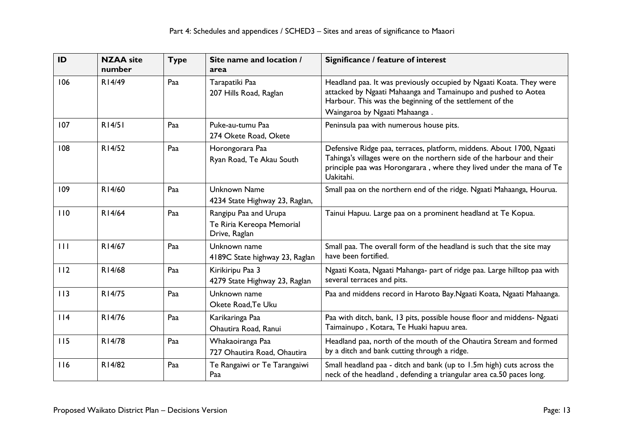| ID  | <b>NZAA</b> site<br>number | <b>Type</b> | Site name and location /<br>area                                    | Significance / feature of interest                                                                                                                                                                                                 |
|-----|----------------------------|-------------|---------------------------------------------------------------------|------------------------------------------------------------------------------------------------------------------------------------------------------------------------------------------------------------------------------------|
| 106 | R14/49                     | Paa         | Tarapatiki Paa<br>207 Hills Road, Raglan                            | Headland paa. It was previously occupied by Ngaati Koata. They were<br>attacked by Ngaati Mahaanga and Tamainupo and pushed to Aotea<br>Harbour. This was the beginning of the settlement of the                                   |
|     |                            |             |                                                                     | Waingaroa by Ngaati Mahaanga.                                                                                                                                                                                                      |
| 107 | R14/51                     | Paa         | Puke-au-tumu Paa<br>274 Okete Road, Okete                           | Peninsula paa with numerous house pits.                                                                                                                                                                                            |
| 108 | R14/52                     | Paa         | Horongorara Paa<br>Ryan Road, Te Akau South                         | Defensive Ridge paa, terraces, platform, middens. About 1700, Ngaati<br>Tahinga's villages were on the northern side of the harbour and their<br>principle paa was Horongarara, where they lived under the mana of Te<br>Uakitahi. |
| 109 | R14/60                     | Paa         | Unknown Name<br>4234 State Highway 23, Raglan,                      | Small paa on the northern end of the ridge. Ngaati Mahaanga, Hourua.                                                                                                                                                               |
| 110 | R14/64                     | Paa         | Rangipu Paa and Urupa<br>Te Riria Kereopa Memorial<br>Drive, Raglan | Tainui Hapuu. Large paa on a prominent headland at Te Kopua.                                                                                                                                                                       |
| 111 | R14/67                     | Paa         | Unknown name<br>4189C State highway 23, Raglan                      | Small paa. The overall form of the headland is such that the site may<br>have been fortified.                                                                                                                                      |
| 112 | R14/68                     | Paa         | Kirikiripu Paa 3<br>4279 State Highway 23, Raglan                   | Ngaati Koata, Ngaati Mahanga- part of ridge paa. Large hilltop paa with<br>several terraces and pits.                                                                                                                              |
| 113 | R14/75                     | Paa         | Unknown name<br>Okete Road, Te Uku                                  | Paa and middens record in Haroto Bay.Ngaati Koata, Ngaati Mahaanga.                                                                                                                                                                |
| 114 | R14/76                     | Paa         | Karikaringa Paa<br>Ohautira Road, Ranui                             | Paa with ditch, bank, 13 pits, possible house floor and middens- Ngaati<br>Taimainupo, Kotara, Te Huaki hapuu area.                                                                                                                |
| 115 | R14/78                     | Paa         | Whakaoiranga Paa<br>727 Ohautira Road, Ohautira                     | Headland paa, north of the mouth of the Ohautira Stream and formed<br>by a ditch and bank cutting through a ridge.                                                                                                                 |
| 116 | R14/82                     | Paa         | Te Rangaiwi or Te Tarangaiwi<br>Paa                                 | Small headland paa - ditch and bank (up to 1.5m high) cuts across the<br>neck of the headland, defending a triangular area ca.50 paces long.                                                                                       |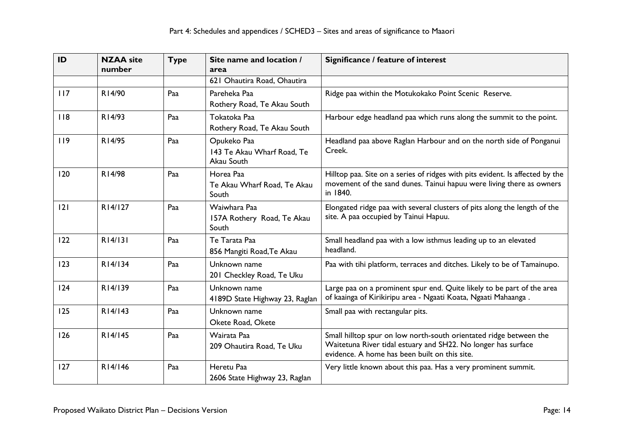| ID  | <b>NZAA</b> site<br>number | <b>Type</b> | Site name and location /<br>area                        | Significance / feature of interest                                                                                                                                                   |
|-----|----------------------------|-------------|---------------------------------------------------------|--------------------------------------------------------------------------------------------------------------------------------------------------------------------------------------|
|     |                            |             | 621 Ohautira Road, Ohautira                             |                                                                                                                                                                                      |
| 117 | R14/90                     | Paa         | Pareheka Paa<br>Rothery Road, Te Akau South             | Ridge paa within the Motukokako Point Scenic Reserve.                                                                                                                                |
| 118 | R14/93                     | Paa         | Tokatoka Paa<br>Rothery Road, Te Akau South             | Harbour edge headland paa which runs along the summit to the point.                                                                                                                  |
| 119 | R14/95                     | Paa         | Opukeko Paa<br>143 Te Akau Wharf Road, Te<br>Akau South | Headland paa above Raglan Harbour and on the north side of Ponganui<br>Creek.                                                                                                        |
| 120 | R14/98                     | Paa         | Horea Paa<br>Te Akau Wharf Road, Te Akau<br>South       | Hilltop paa. Site on a series of ridges with pits evident. Is affected by the<br>movement of the sand dunes. Tainui hapuu were living there as owners<br>in 1840.                    |
| 2   | R14/127                    | Paa         | Waiwhara Paa<br>157A Rothery Road, Te Akau<br>South     | Elongated ridge paa with several clusters of pits along the length of the<br>site. A paa occupied by Tainui Hapuu.                                                                   |
| 122 | R14/131                    | Paa         | Te Tarata Paa<br>856 Mangiti Road, Te Akau              | Small headland paa with a low isthmus leading up to an elevated<br>headland.                                                                                                         |
| 123 | R14/134                    | Paa         | Unknown name<br>201 Checkley Road, Te Uku               | Paa with tihi platform, terraces and ditches. Likely to be of Tamainupo.                                                                                                             |
| 124 | R14/139                    | Paa         | Unknown name<br>4189D State Highway 23, Raglan          | Large paa on a prominent spur end. Quite likely to be part of the area<br>of kaainga of Kirikiripu area - Ngaati Koata, Ngaati Mahaanga.                                             |
| 125 | R14/143                    | Paa         | Unknown name<br>Okete Road, Okete                       | Small paa with rectangular pits.                                                                                                                                                     |
| 126 | R14/145                    | Paa         | Wairata Paa<br>209 Ohautira Road, Te Uku                | Small hilltop spur on low north-south orientated ridge between the<br>Waitetuna River tidal estuary and SH22. No longer has surface<br>evidence. A home has been built on this site. |
| 127 | R14/146                    | Paa         | Heretu Paa<br>2606 State Highway 23, Raglan             | Very little known about this paa. Has a very prominent summit.                                                                                                                       |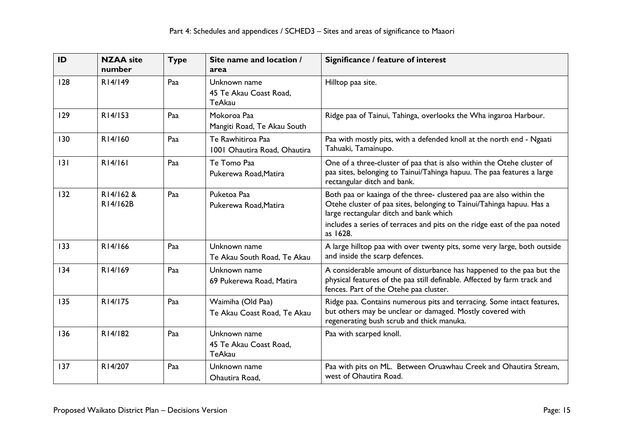| ID  | <b>NZAA</b> site<br>number | <b>Type</b> | Site name and location /<br>area                        | Significance / feature of interest                                                                                                                                                                                                                                             |
|-----|----------------------------|-------------|---------------------------------------------------------|--------------------------------------------------------------------------------------------------------------------------------------------------------------------------------------------------------------------------------------------------------------------------------|
| 128 | R14/149                    | Paa         | Unknown name<br>45 Te Akau Coast Road,<br><b>TeAkau</b> | Hilltop paa site.                                                                                                                                                                                                                                                              |
| 129 | R14/153                    | Paa         | Mokoroa Paa<br>Mangiti Road, Te Akau South              | Ridge paa of Tainui, Tahinga, overlooks the Wha ingaroa Harbour.                                                                                                                                                                                                               |
| 130 | R14/160                    | Paa         | Te Rawhitiroa Paa<br>1001 Ohautira Road, Ohautira       | Paa with mostly pits, with a defended knoll at the north end - Ngaati<br>Tahuaki, Tamainupo.                                                                                                                                                                                   |
| 3   | R14/161                    | Paa         | Te Tomo Paa<br>Pukerewa Road, Matira                    | One of a three-cluster of paa that is also within the Otehe cluster of<br>paa sites, belonging to Tainui/Tahinga hapuu. The paa features a large<br>rectangular ditch and bank.                                                                                                |
| 132 | R14/162 &<br>R14/162B      | Paa         | Puketoa Paa<br>Pukerewa Road, Matira                    | Both paa or kaainga of the three- clustered paa are also within the<br>Otehe cluster of paa sites, belonging to Tainui/Tahinga hapuu. Has a<br>large rectangular ditch and bank which<br>includes a series of terraces and pits on the ridge east of the paa noted<br>as 1628. |
| 133 | R14/166                    | Paa         | Unknown name<br>Te Akau South Road, Te Akau             | A large hilltop paa with over twenty pits, some very large, both outside<br>and inside the scarp defences.                                                                                                                                                                     |
| 134 | R14/169                    | Paa         | Unknown name<br>69 Pukerewa Road, Matira                | A considerable amount of disturbance has happened to the paa but the<br>physical features of the paa still definable. Affected by farm track and<br>fences. Part of the Otehe paa cluster.                                                                                     |
| 135 | R14/175                    | Paa         | Waimiha (Old Paa)<br>Te Akau Coast Road, Te Akau        | Ridge paa. Contains numerous pits and terracing. Some intact features,<br>but others may be unclear or damaged. Mostly covered with<br>regenerating bush scrub and thick manuka.                                                                                               |
| 136 | R14/182                    | Paa         | Unknown name<br>45 Te Akau Coast Road,<br><b>TeAkau</b> | Paa with scarped knoll.                                                                                                                                                                                                                                                        |
| 137 | R14/207                    | Paa         | Unknown name<br>Ohautira Road,                          | Paa with pits on ML. Between Oruawhau Creek and Ohautira Stream,<br>west of Ohautira Road.                                                                                                                                                                                     |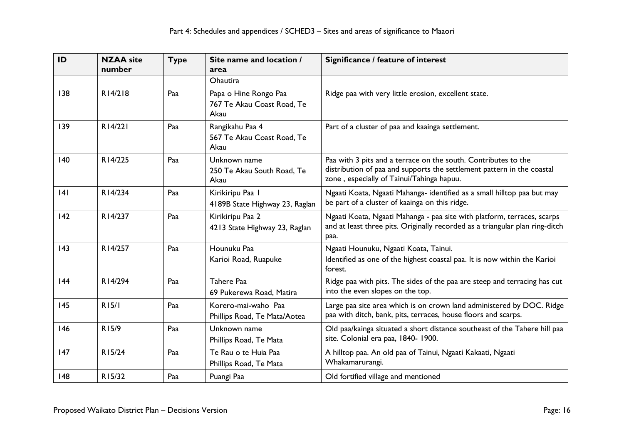| ID  | <b>NZAA</b> site<br>number | <b>Type</b> | Site name and location /<br>area                            | Significance / feature of interest                                                                                                                                                    |
|-----|----------------------------|-------------|-------------------------------------------------------------|---------------------------------------------------------------------------------------------------------------------------------------------------------------------------------------|
|     |                            |             | <b>Ohautira</b>                                             |                                                                                                                                                                                       |
| 138 | R14/218                    | Paa         | Papa o Hine Rongo Paa<br>767 Te Akau Coast Road, Te<br>Akau | Ridge paa with very little erosion, excellent state.                                                                                                                                  |
| 139 | R14/221                    | Paa         | Rangikahu Paa 4<br>567 Te Akau Coast Road, Te<br>Akau       | Part of a cluster of paa and kaainga settlement.                                                                                                                                      |
| 140 | R14/225                    | Paa         | Unknown name<br>250 Te Akau South Road, Te<br>Akau          | Paa with 3 pits and a terrace on the south. Contributes to the<br>distribution of paa and supports the settlement pattern in the coastal<br>zone, especially of Tainui/Tahinga hapuu. |
| 4   | R14/234                    | Paa         | Kirikiripu Paa I<br>4189B State Highway 23, Raglan          | Ngaati Koata, Ngaati Mahanga- identified as a small hilltop paa but may<br>be part of a cluster of kaainga on this ridge.                                                             |
| 142 | R14/237                    | Paa         | Kirikiripu Paa 2<br>4213 State Highway 23, Raglan           | Ngaati Koata, Ngaati Mahanga - paa site with platform, terraces, scarps<br>and at least three pits. Originally recorded as a triangular plan ring-ditch<br>paa.                       |
| 143 | R14/257                    | Paa         | Hounuku Paa<br>Karioi Road, Ruapuke                         | Ngaati Hounuku, Ngaati Koata, Tainui.<br>Identified as one of the highest coastal paa. It is now within the Karioi<br>forest.                                                         |
| 44  | R14/294                    | Paa         | Tahere Paa<br>69 Pukerewa Road, Matira                      | Ridge paa with pits. The sides of the paa are steep and terracing has cut<br>into the even slopes on the top.                                                                         |
| 145 | R15/I                      | Paa         | Korero-mai-waho Paa<br>Phillips Road, Te Mata/Aotea         | Large paa site area which is on crown land administered by DOC. Ridge<br>paa with ditch, bank, pits, terraces, house floors and scarps.                                               |
| 146 | R15/9                      | Paa         | Unknown name<br>Phillips Road, Te Mata                      | Old paa/kainga situated a short distance southeast of the Tahere hill paa<br>site. Colonial era paa, 1840-1900.                                                                       |
| 147 | R15/24                     | Paa         | Te Rau o te Huia Paa<br>Phillips Road, Te Mata              | A hilltop paa. An old paa of Tainui, Ngaati Kakaati, Ngaati<br>Whakamarurangi.                                                                                                        |
| 148 | R15/32                     | Paa         | Puangi Paa                                                  | Old fortified village and mentioned                                                                                                                                                   |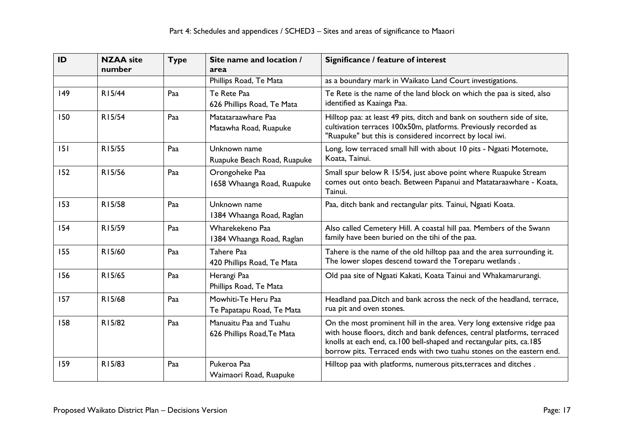| ID  | <b>NZAA</b> site<br>number | <b>Type</b> | Site name and location /<br>area                     | Significance / feature of interest                                                                                                                                                                                                                                                              |
|-----|----------------------------|-------------|------------------------------------------------------|-------------------------------------------------------------------------------------------------------------------------------------------------------------------------------------------------------------------------------------------------------------------------------------------------|
|     |                            |             | Phillips Road, Te Mata                               | as a boundary mark in Waikato Land Court investigations.                                                                                                                                                                                                                                        |
| 149 | R15/44                     | Paa         | Te Rete Paa<br>626 Phillips Road, Te Mata            | Te Rete is the name of the land block on which the paa is sited, also<br>identified as Kaainga Paa.                                                                                                                                                                                             |
| 150 | R15/54                     | Paa         | Matataraawhare Paa<br>Matawha Road, Ruapuke          | Hilltop paa: at least 49 pits, ditch and bank on southern side of site,<br>cultivation terraces 100x50m, platforms. Previously recorded as<br>"Ruapuke" but this is considered incorrect by local iwi.                                                                                          |
| 151 | R15/55                     | Paa         | Unknown name<br>Ruapuke Beach Road, Ruapuke          | Long, low terraced small hill with about 10 pits - Ngaati Motemote,<br>Koata, Tainui.                                                                                                                                                                                                           |
| 152 | R15/56                     | Paa         | Orongoheke Paa<br>1658 Whaanga Road, Ruapuke         | Small spur below R 15/54, just above point where Ruapuke Stream<br>comes out onto beach. Between Papanui and Matataraawhare - Koata,<br>Tainui.                                                                                                                                                 |
| 153 | R15/58                     | Paa         | Unknown name<br>1384 Whaanga Road, Raglan            | Paa, ditch bank and rectangular pits. Tainui, Ngaati Koata.                                                                                                                                                                                                                                     |
| 154 | R15/59                     | Paa         | Wharekekeno Paa<br>1384 Whaanga Road, Raglan         | Also called Cemetery Hill. A coastal hill paa. Members of the Swann<br>family have been buried on the tihi of the paa.                                                                                                                                                                          |
| 155 | R15/60                     | Paa         | Tahere Paa<br>420 Phillips Road, Te Mata             | Tahere is the name of the old hilltop paa and the area surrounding it.<br>The lower slopes descend toward the Toreparu wetlands.                                                                                                                                                                |
| 156 | R15/65                     | Paa         | Herangi Paa<br>Phillips Road, Te Mata                | Old paa site of Ngaati Kakati, Koata Tainui and Whakamarurangi.                                                                                                                                                                                                                                 |
| 157 | R15/68                     | Paa         | Mowhiti-Te Heru Paa<br>Te Papatapu Road, Te Mata     | Headland paa. Ditch and bank across the neck of the headland, terrace,<br>rua pit and oven stones.                                                                                                                                                                                              |
| 158 | R15/82                     | Paa         | Manuaitu Paa and Tuahu<br>626 Phillips Road, Te Mata | On the most prominent hill in the area. Very long extensive ridge paa<br>with house floors, ditch and bank defences, central platforms, terraced<br>knolls at each end, ca.100 bell-shaped and rectangular pits, ca.185<br>borrow pits. Terraced ends with two tuahu stones on the eastern end. |
| 159 | R15/83                     | Paa         | Pukeroa Paa<br>Waimaori Road, Ruapuke                | Hilltop paa with platforms, numerous pits, terraces and ditches.                                                                                                                                                                                                                                |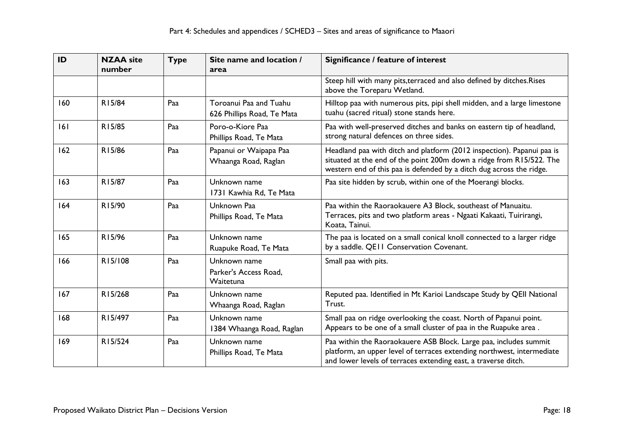| ID  | <b>NZAA</b> site<br>number | <b>Type</b> | Site name and location /<br>area                     | Significance / feature of interest                                                                                                                                                                                     |
|-----|----------------------------|-------------|------------------------------------------------------|------------------------------------------------------------------------------------------------------------------------------------------------------------------------------------------------------------------------|
|     |                            |             |                                                      | Steep hill with many pits, terraced and also defined by ditches. Rises<br>above the Toreparu Wetland.                                                                                                                  |
| 160 | R15/84                     | Paa         | Toroanui Paa and Tuahu<br>626 Phillips Road, Te Mata | Hilltop paa with numerous pits, pipi shell midden, and a large limestone<br>tuahu (sacred ritual) stone stands here.                                                                                                   |
| 6   | R15/85                     | Paa         | Poro-o-Kiore Paa<br>Phillips Road, Te Mata           | Paa with well-preserved ditches and banks on eastern tip of headland,<br>strong natural defences on three sides.                                                                                                       |
| 162 | R15/86                     | Paa         | Papanui or Waipapa Paa<br>Whaanga Road, Raglan       | Headland paa with ditch and platform (2012 inspection). Papanui paa is<br>situated at the end of the point 200m down a ridge from R15/522. The<br>western end of this paa is defended by a ditch dug across the ridge. |
| 163 | R15/87                     | Paa         | Unknown name<br>1731 Kawhia Rd, Te Mata              | Paa site hidden by scrub, within one of the Moerangi blocks.                                                                                                                                                           |
| 164 | R15/90                     | Paa         | Unknown Paa<br>Phillips Road, Te Mata                | Paa within the Raoraokauere A3 Block, southeast of Manuaitu.<br>Terraces, pits and two platform areas - Ngaati Kakaati, Tuirirangi,<br>Koata, Tainui.                                                                  |
| 165 | R15/96                     | Paa         | Unknown name<br>Ruapuke Road, Te Mata                | The paa is located on a small conical knoll connected to a larger ridge<br>by a saddle. QEII Conservation Covenant.                                                                                                    |
| 166 | R15/108                    | Paa         | Unknown name<br>Parker's Access Road,<br>Waitetuna   | Small paa with pits.                                                                                                                                                                                                   |
| 167 | R15/268                    | Paa         | Unknown name<br>Whaanga Road, Raglan                 | Reputed paa. Identified in Mt Karioi Landscape Study by QEII National<br>Trust.                                                                                                                                        |
| 168 | R15/497                    | Paa         | Unknown name<br>1384 Whaanga Road, Raglan            | Small paa on ridge overlooking the coast. North of Papanui point.<br>Appears to be one of a small cluster of paa in the Ruapuke area.                                                                                  |
| 169 | R15/524                    | Paa         | Unknown name<br>Phillips Road, Te Mata               | Paa within the Raoraokauere ASB Block. Large paa, includes summit<br>platform, an upper level of terraces extending northwest, intermediate<br>and lower levels of terraces extending east, a traverse ditch.          |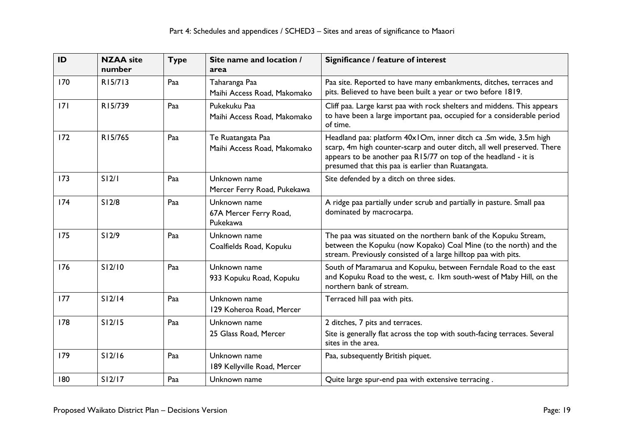| ID  | <b>NZAA</b> site<br>number | <b>Type</b> | Site name and location /<br>area                   | Significance / feature of interest                                                                                                                                                                                                                                    |
|-----|----------------------------|-------------|----------------------------------------------------|-----------------------------------------------------------------------------------------------------------------------------------------------------------------------------------------------------------------------------------------------------------------------|
| 170 | R15/713                    | Paa         | Taharanga Paa<br>Maihi Access Road, Makomako       | Paa site. Reported to have many embankments, ditches, terraces and<br>pits. Believed to have been built a year or two before 1819.                                                                                                                                    |
| 7   | R15/739                    | Paa         | Pukekuku Paa<br>Maihi Access Road, Makomako        | Cliff paa. Large karst paa with rock shelters and middens. This appears<br>to have been a large important paa, occupied for a considerable period<br>of time.                                                                                                         |
| 172 | R15/765                    | Paa         | Te Ruatangata Paa<br>Maihi Access Road, Makomako   | Headland paa: platform 40x10m, inner ditch ca .Sm wide, 3.5m high<br>scarp, 4m high counter-scarp and outer ditch, all well preserved. There<br>appears to be another paa R15/77 on top of the headland - it is<br>presumed that this paa is earlier than Ruatangata. |
| 173 | S12/1                      | Paa         | Unknown name<br>Mercer Ferry Road, Pukekawa        | Site defended by a ditch on three sides.                                                                                                                                                                                                                              |
| 174 | S12/8                      | Paa         | Unknown name<br>67A Mercer Ferry Road,<br>Pukekawa | A ridge paa partially under scrub and partially in pasture. Small paa<br>dominated by macrocarpa.                                                                                                                                                                     |
| 175 | S12/9                      | Paa         | Unknown name<br>Coalfields Road, Kopuku            | The paa was situated on the northern bank of the Kopuku Stream,<br>between the Kopuku (now Kopako) Coal Mine (to the north) and the<br>stream. Previously consisted of a large hilltop paa with pits.                                                                 |
| 176 | S12/10                     | Paa         | Unknown name<br>933 Kopuku Road, Kopuku            | South of Maramarua and Kopuku, between Ferndale Road to the east<br>and Kopuku Road to the west, c. 1km south-west of Maby Hill, on the<br>northern bank of stream.                                                                                                   |
| 177 | S12/14                     | Paa         | Unknown name<br>129 Koheroa Road, Mercer           | Terraced hill paa with pits.                                                                                                                                                                                                                                          |
| 178 | S12/15                     | Paa         | Unknown name<br>25 Glass Road, Mercer              | 2 ditches, 7 pits and terraces.<br>Site is generally flat across the top with south-facing terraces. Several<br>sites in the area.                                                                                                                                    |
| 179 | S12/16                     | Paa         | Unknown name<br>189 Kellyville Road, Mercer        | Paa, subsequently British piquet.                                                                                                                                                                                                                                     |
| 180 | S12/17                     | Paa         | Unknown name                                       | Quite large spur-end paa with extensive terracing.                                                                                                                                                                                                                    |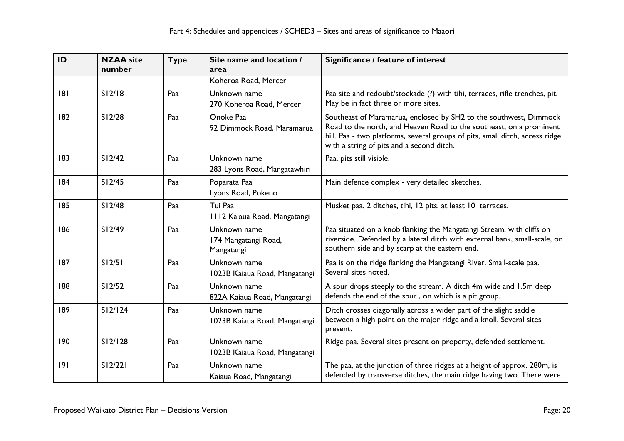| ID  | <b>NZAA</b> site<br>number | <b>Type</b> | Site name and location /<br>area                   | Significance / feature of interest                                                                                                                                                                                                                                    |
|-----|----------------------------|-------------|----------------------------------------------------|-----------------------------------------------------------------------------------------------------------------------------------------------------------------------------------------------------------------------------------------------------------------------|
|     |                            |             | Koheroa Road, Mercer                               |                                                                                                                                                                                                                                                                       |
| 8   | S12/18                     | Paa         | Unknown name<br>270 Koheroa Road, Mercer           | Paa site and redoubt/stockade (?) with tihi, terraces, rifle trenches, pit.<br>May be in fact three or more sites.                                                                                                                                                    |
| 182 | S12/28                     | Paa         | Onoke Paa<br>92 Dimmock Road, Maramarua            | Southeast of Maramarua, enclosed by SH2 to the southwest, Dimmock<br>Road to the north, and Heaven Road to the southeast, on a prominent<br>hill. Paa - two platforms, several groups of pits, small ditch, access ridge<br>with a string of pits and a second ditch. |
| 183 | S12/42                     | Paa         | Unknown name<br>283 Lyons Road, Mangatawhiri       | Paa, pits still visible.                                                                                                                                                                                                                                              |
| 184 | S12/45                     | Paa         | Poparata Paa<br>Lyons Road, Pokeno                 | Main defence complex - very detailed sketches.                                                                                                                                                                                                                        |
| 185 | S12/48                     | Paa         | Tui Paa<br>1112 Kaiaua Road, Mangatangi            | Musket paa. 2 ditches, tihi, 12 pits, at least 10 terraces.                                                                                                                                                                                                           |
| 186 | S12/49                     | Paa         | Unknown name<br>174 Mangatangi Road,<br>Mangatangi | Paa situated on a knob flanking the Mangatangi Stream, with cliffs on<br>riverside. Defended by a lateral ditch with external bank, small-scale, on<br>southern side and by scarp at the eastern end.                                                                 |
| 187 | S12/51                     | Paa         | Unknown name<br>1023B Kaiaua Road, Mangatangi      | Paa is on the ridge flanking the Mangatangi River. Small-scale paa.<br>Several sites noted.                                                                                                                                                                           |
| 188 | S12/52                     | Paa         | Unknown name<br>822A Kaiaua Road, Mangatangi       | A spur drops steeply to the stream. A ditch 4m wide and 1.5m deep<br>defends the end of the spur, on which is a pit group.                                                                                                                                            |
| 189 | S12/124                    | Paa         | Unknown name<br>1023B Kaiaua Road, Mangatangi      | Ditch crosses diagonally across a wider part of the slight saddle<br>between a high point on the major ridge and a knoll. Several sites<br>present.                                                                                                                   |
| 190 | S12/128                    | Paa         | Unknown name<br>1023B Kaiaua Road, Mangatangi      | Ridge paa. Several sites present on property, defended settlement.                                                                                                                                                                                                    |
| 9   | S12/221                    | Paa         | Unknown name<br>Kaiaua Road, Mangatangi            | The paa, at the junction of three ridges at a height of approx. 280m, is<br>defended by transverse ditches, the main ridge having two. There were                                                                                                                     |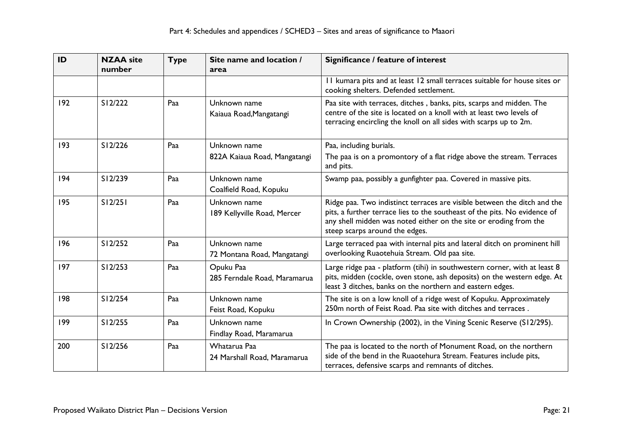| ID  | <b>NZAA</b> site<br>number | <b>Type</b> | Site name and location /<br>area            | Significance / feature of interest                                                                                                                                                                                                                           |
|-----|----------------------------|-------------|---------------------------------------------|--------------------------------------------------------------------------------------------------------------------------------------------------------------------------------------------------------------------------------------------------------------|
|     |                            |             |                                             | II kumara pits and at least 12 small terraces suitable for house sites or<br>cooking shelters. Defended settlement.                                                                                                                                          |
| 192 | S12/222                    | Paa         | Unknown name<br>Kaiaua Road, Mangatangi     | Paa site with terraces, ditches, banks, pits, scarps and midden. The<br>centre of the site is located on a knoll with at least two levels of<br>terracing encircling the knoll on all sides with scarps up to 2m.                                            |
| 193 | S12/226                    | Paa         | Unknown name                                | Paa, including burials.                                                                                                                                                                                                                                      |
|     |                            |             | 822A Kaiaua Road, Mangatangi                | The paa is on a promontory of a flat ridge above the stream. Terraces<br>and pits.                                                                                                                                                                           |
| 194 | S12/239                    | Paa         | Unknown name<br>Coalfield Road, Kopuku      | Swamp paa, possibly a gunfighter paa. Covered in massive pits.                                                                                                                                                                                               |
| 195 | S12/251                    | Paa         | Unknown name<br>189 Kellyville Road, Mercer | Ridge paa. Two indistinct terraces are visible between the ditch and the<br>pits, a further terrace lies to the southeast of the pits. No evidence of<br>any shell midden was noted either on the site or eroding from the<br>steep scarps around the edges. |
| 196 | S12/252                    | Paa         | Unknown name<br>72 Montana Road, Mangatangi | Large terraced paa with internal pits and lateral ditch on prominent hill<br>overlooking Ruaotehuia Stream. Old paa site.                                                                                                                                    |
| 197 | S12/253                    | Paa         | Opuku Paa<br>285 Ferndale Road, Maramarua   | Large ridge paa - platform (tihi) in southwestern corner, with at least 8<br>pits, midden (cockle, oven stone, ash deposits) on the western edge. At<br>least 3 ditches, banks on the northern and eastern edges.                                            |
| 198 | S12/254                    | Paa         | Unknown name<br>Feist Road, Kopuku          | The site is on a low knoll of a ridge west of Kopuku. Approximately<br>250m north of Feist Road. Paa site with ditches and terraces.                                                                                                                         |
| 199 | S12/255                    | Paa         | Unknown name<br>Findlay Road, Maramarua     | In Crown Ownership (2002), in the Vining Scenic Reserve (S12/295).                                                                                                                                                                                           |
| 200 | S12/256                    | Paa         | Whatarua Paa<br>24 Marshall Road, Maramarua | The paa is located to the north of Monument Road, on the northern<br>side of the bend in the Ruaotehura Stream. Features include pits,<br>terraces, defensive scarps and remnants of ditches.                                                                |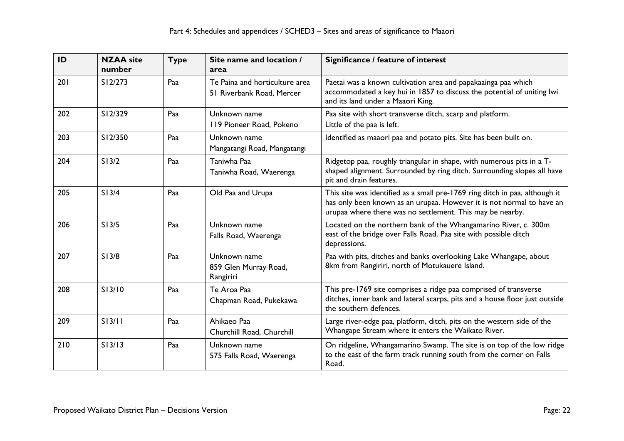| ID  | <b>NZAA</b> site<br>number | <b>Type</b> | Site name and location /<br>area                            | Significance / feature of interest                                                                                                                                                                                |
|-----|----------------------------|-------------|-------------------------------------------------------------|-------------------------------------------------------------------------------------------------------------------------------------------------------------------------------------------------------------------|
| 201 | S12/273                    | Paa         | Te Paina and horticulture area<br>51 Riverbank Road, Mercer | Paetai was a known cultivation area and papakaainga paa which<br>accommodated a key hui in 1857 to discuss the potential of uniting lwi<br>and its land under a Maaori King.                                      |
| 202 | S12/329                    | Paa         | Unknown name<br>119 Pioneer Road, Pokeno                    | Paa site with short transverse ditch, scarp and platform.<br>Little of the paa is left.                                                                                                                           |
| 203 | S12/350                    | Paa         | Unknown name<br>Mangatangi Road, Mangatangi                 | Identified as maaori paa and potato pits. Site has been built on.                                                                                                                                                 |
| 204 | S13/2                      | Paa         | Taniwha Paa<br>Taniwha Road, Waerenga                       | Ridgetop paa, roughly triangular in shape, with numerous pits in a T-<br>shaped alignment. Surrounded by ring ditch. Surrounding slopes all have<br>pit and drain features.                                       |
| 205 | S13/4                      | Paa         | Old Paa and Urupa                                           | This site was identified as a small pre-1769 ring ditch in paa, although it<br>has only been known as an urupaa. However it is not normal to have an<br>urupaa where there was no settlement. This may be nearby. |
| 206 | S13/5                      | Paa         | Unknown name<br>Falls Road, Waerenga                        | Located on the northern bank of the Whangamarino River, c. 300m<br>east of the bridge over Falls Road. Paa site with possible ditch<br>depressions.                                                               |
| 207 | S13/8                      | Paa         | Unknown name<br>859 Glen Murray Road,<br>Rangiriri          | Paa with pits, ditches and banks overlooking Lake Whangape, about<br>8km from Rangiriri, north of Motukauere Island.                                                                                              |
| 208 | S13/10                     | Paa         | Te Aroa Paa<br>Chapman Road, Pukekawa                       | This pre-1769 site comprises a ridge paa comprised of transverse<br>ditches, inner bank and lateral scarps, pits and a house floor just outside<br>the southern defences.                                         |
| 209 | S13/11                     | Paa         | Ahikaeo Paa<br>Churchill Road, Churchill                    | Large river-edge paa, platform, ditch, pits on the western side of the<br>Whangape Stream where it enters the Waikato River.                                                                                      |
| 210 | S13/13                     | Paa         | Unknown name<br>575 Falls Road, Waerenga                    | On ridgeline, Whangamarino Swamp. The site is on top of the low ridge<br>to the east of the farm track running south from the corner on Falls<br>Road.                                                            |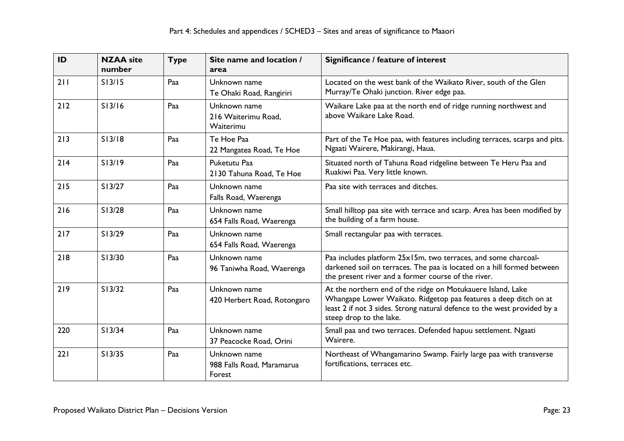| ID  | <b>NZAA</b> site<br>number | <b>Type</b> | Site name and location /<br>area                    | Significance / feature of interest                                                                                                                                                                                                     |
|-----|----------------------------|-------------|-----------------------------------------------------|----------------------------------------------------------------------------------------------------------------------------------------------------------------------------------------------------------------------------------------|
| 211 | S13/15                     | Paa         | Unknown name<br>Te Ohaki Road, Rangiriri            | Located on the west bank of the Waikato River, south of the Glen<br>Murray/Te Ohaki junction. River edge paa.                                                                                                                          |
| 212 | S13/16                     | Paa         | Unknown name<br>216 Waiterimu Road,<br>Waiterimu    | Waikare Lake paa at the north end of ridge running northwest and<br>above Waikare Lake Road.                                                                                                                                           |
| 213 | S13/18                     | Paa         | Te Hoe Paa<br>22 Mangatea Road, Te Hoe              | Part of the Te Hoe paa, with features including terraces, scarps and pits.<br>Ngaati Wairere, Makirangi, Haua.                                                                                                                         |
| 214 | S13/19                     | Paa         | Puketutu Paa<br>2130 Tahuna Road, Te Hoe            | Situated north of Tahuna Road ridgeline between Te Heru Paa and<br>Ruakiwi Paa. Very little known.                                                                                                                                     |
| 215 | S13/27                     | Paa         | Unknown name<br>Falls Road, Waerenga                | Paa site with terraces and ditches.                                                                                                                                                                                                    |
| 216 | S13/28                     | Paa         | Unknown name<br>654 Falls Road, Waerenga            | Small hilltop paa site with terrace and scarp. Area has been modified by<br>the building of a farm house.                                                                                                                              |
| 217 | S13/29                     | Paa         | Unknown name<br>654 Falls Road, Waerenga            | Small rectangular paa with terraces.                                                                                                                                                                                                   |
| 218 | S13/30                     | Paa         | Unknown name<br>96 Taniwha Road, Waerenga           | Paa includes platform 25x15m, two terraces, and some charcoal-<br>darkened soil on terraces. The paa is located on a hill formed between<br>the present river and a former course of the river.                                        |
| 219 | S13/32                     | Paa         | Unknown name<br>420 Herbert Road, Rotongaro         | At the northern end of the ridge on Motukauere Island, Lake<br>Whangape Lower Waikato. Ridgetop paa features a deep ditch on at<br>least 2 if not 3 sides. Strong natural defence to the west provided by a<br>steep drop to the lake. |
| 220 | S13/34                     | Paa         | Unknown name<br>37 Peacocke Road, Orini             | Small paa and two terraces. Defended hapuu settlement. Ngaati<br>Wairere.                                                                                                                                                              |
| 221 | S13/35                     | Paa         | Unknown name<br>988 Falls Road, Maramarua<br>Forest | Northeast of Whangamarino Swamp. Fairly large paa with transverse<br>fortifications, terraces etc.                                                                                                                                     |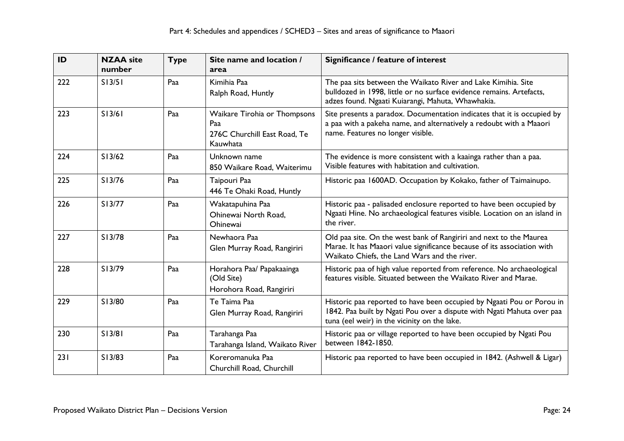| ID  | <b>NZAA site</b><br>number | <b>Type</b> | Site name and location /<br>area                                                | Significance / feature of interest                                                                                                                                                              |
|-----|----------------------------|-------------|---------------------------------------------------------------------------------|-------------------------------------------------------------------------------------------------------------------------------------------------------------------------------------------------|
| 222 | S13/51                     | Paa         | Kimihia Paa<br>Ralph Road, Huntly                                               | The paa sits between the Waikato River and Lake Kimihia. Site<br>bulldozed in 1998, little or no surface evidence remains. Artefacts,<br>adzes found. Ngaati Kuiarangi, Mahuta, Whawhakia.      |
| 223 | S13/61                     | Paa         | Waikare Tirohia or Thompsons<br>Paa<br>276C Churchill East Road, Te<br>Kauwhata | Site presents a paradox. Documentation indicates that it is occupied by<br>a paa with a pakeha name, and alternatively a redoubt with a Maaori<br>name. Features no longer visible.             |
| 224 | S13/62                     | Paa         | Unknown name<br>850 Waikare Road, Waiterimu                                     | The evidence is more consistent with a kaainga rather than a paa.<br>Visible features with habitation and cultivation.                                                                          |
| 225 | S13/76                     | Paa         | Taipouri Paa<br>446 Te Ohaki Road, Huntly                                       | Historic paa 1600AD. Occupation by Kokako, father of Taimainupo.                                                                                                                                |
| 226 | S13/77                     | Paa         | Wakatapuhina Paa<br>Ohinewai North Road.<br>Ohinewai                            | Historic paa - palisaded enclosure reported to have been occupied by<br>Ngaati Hine. No archaeological features visible. Location on an island in<br>the river.                                 |
| 227 | S13/78                     | Paa         | Newhaora Paa<br>Glen Murray Road, Rangiriri                                     | Old paa site. On the west bank of Rangiriri and next to the Maurea<br>Marae. It has Maaori value significance because of its association with<br>Waikato Chiefs, the Land Wars and the river.   |
| 228 | S13/79                     | Paa         | Horahora Paa/ Papakaainga<br>(Old Site)<br>Horohora Road, Rangiriri             | Historic paa of high value reported from reference. No archaeological<br>features visible. Situated between the Waikato River and Marae.                                                        |
| 229 | S13/80                     | Paa         | Te Taima Paa<br>Glen Murray Road, Rangiriri                                     | Historic paa reported to have been occupied by Ngaati Pou or Porou in<br>1842. Paa built by Ngati Pou over a dispute with Ngati Mahuta over paa<br>tuna (eel weir) in the vicinity on the lake. |
| 230 | S13/81                     | Paa         | Tarahanga Paa<br>Tarahanga Island, Waikato River                                | Historic paa or village reported to have been occupied by Ngati Pou<br>between 1842-1850.                                                                                                       |
| 231 | S13/83                     | Paa         | Koreromanuka Paa<br>Churchill Road, Churchill                                   | Historic paa reported to have been occupied in 1842. (Ashwell & Ligar)                                                                                                                          |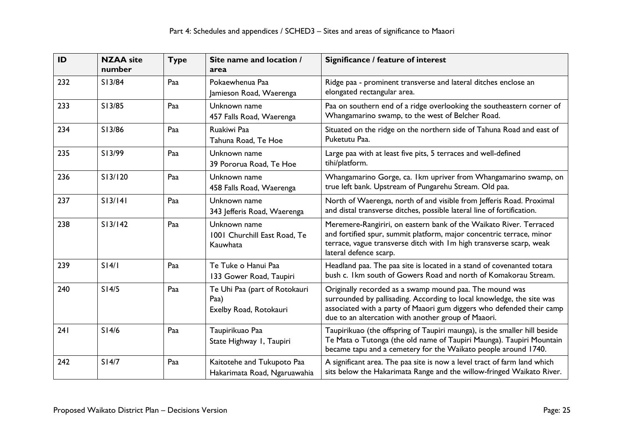| ID  | <b>NZAA</b> site<br>number | <b>Type</b> | Site name and location /<br>area                                | Significance / feature of interest                                                                                                                                                                                                                               |
|-----|----------------------------|-------------|-----------------------------------------------------------------|------------------------------------------------------------------------------------------------------------------------------------------------------------------------------------------------------------------------------------------------------------------|
| 232 | S13/84                     | Paa         | Pokaewhenua Paa<br>Jamieson Road, Waerenga                      | Ridge paa - prominent transverse and lateral ditches enclose an<br>elongated rectangular area.                                                                                                                                                                   |
| 233 | S13/85                     | Paa         | Unknown name<br>457 Falls Road, Waerenga                        | Paa on southern end of a ridge overlooking the southeastern corner of<br>Whangamarino swamp, to the west of Belcher Road.                                                                                                                                        |
| 234 | S13/86                     | Paa         | Ruakiwi Paa<br>Tahuna Road, Te Hoe                              | Situated on the ridge on the northern side of Tahuna Road and east of<br>Puketutu Paa.                                                                                                                                                                           |
| 235 | S13/99                     | Paa         | Unknown name<br>39 Pororua Road, Te Hoe                         | Large paa with at least five pits, 5 terraces and well-defined<br>tihi/platform.                                                                                                                                                                                 |
| 236 | S13/120                    | Paa         | Unknown name<br>458 Falls Road, Waerenga                        | Whangamarino Gorge, ca. Ikm upriver from Whangamarino swamp, on<br>true left bank. Upstream of Pungarehu Stream. Old paa.                                                                                                                                        |
| 237 | S13/141                    | Paa         | Unknown name<br>343 Jefferis Road, Waerenga                     | North of Waerenga, north of and visible from Jefferis Road. Proximal<br>and distal transverse ditches, possible lateral line of fortification.                                                                                                                   |
| 238 | S13/142                    | Paa         | Unknown name<br>1001 Churchill East Road, Te<br>Kauwhata        | Meremere-Rangiriri, on eastern bank of the Waikato River. Terraced<br>and fortified spur, summit platform, major concentric terrace, minor<br>terrace, vague transverse ditch with Im high transverse scarp, weak<br>lateral defence scarp.                      |
| 239 | S14/1                      | Paa         | Te Tuke o Hanui Paa<br>133 Gower Road, Taupiri                  | Headland paa. The paa site is located in a stand of covenanted totara<br>bush c. Ikm south of Gowers Road and north of Komakorau Stream.                                                                                                                         |
| 240 | S14/5                      | Paa         | Te Uhi Paa (part of Rotokauri<br>Paa)<br>Exelby Road, Rotokauri | Originally recorded as a swamp mound paa. The mound was<br>surrounded by pallisading. According to local knowledge, the site was<br>associated with a party of Maaori gum diggers who defended their camp<br>due to an altercation with another group of Maaori. |
| 241 | S14/6                      | Paa         | Taupirikuao Paa<br>State Highway I, Taupiri                     | Taupirikuao (the offspring of Taupiri maunga), is the smaller hill beside<br>Te Mata o Tutonga (the old name of Taupiri Maunga). Taupiri Mountain<br>became tapu and a cemetery for the Waikato people around 1740.                                              |
| 242 | S14/7                      | Paa         | Kaitotehe and Tukupoto Paa<br>Hakarimata Road, Ngaruawahia      | A significant area. The paa site is now a level tract of farm land which<br>sits below the Hakarimata Range and the willow-fringed Waikato River.                                                                                                                |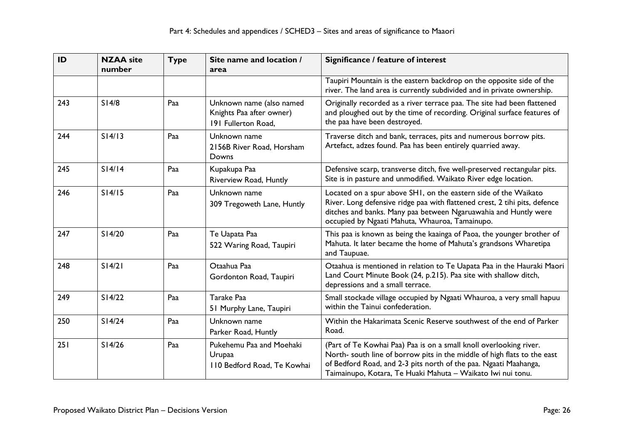| ID  | <b>NZAA</b> site<br>number | <b>Type</b> | Site name and location /<br>area                                            | Significance / feature of interest                                                                                                                                                                                                                                                |
|-----|----------------------------|-------------|-----------------------------------------------------------------------------|-----------------------------------------------------------------------------------------------------------------------------------------------------------------------------------------------------------------------------------------------------------------------------------|
|     |                            |             |                                                                             | Taupiri Mountain is the eastern backdrop on the opposite side of the<br>river. The land area is currently subdivided and in private ownership.                                                                                                                                    |
| 243 | S14/8                      | Paa         | Unknown name (also named<br>Knights Paa after owner)<br>191 Fullerton Road, | Originally recorded as a river terrace paa. The site had been flattened<br>and ploughed out by the time of recording. Original surface features of<br>the paa have been destroyed.                                                                                                |
| 244 | S14/13                     | Paa         | Unknown name<br>2156B River Road, Horsham<br>Downs                          | Traverse ditch and bank, terraces, pits and numerous borrow pits.<br>Artefact, adzes found. Paa has been entirely quarried away.                                                                                                                                                  |
| 245 | S14/14                     | Paa         | Kupakupa Paa<br>Riverview Road, Huntly                                      | Defensive scarp, transverse ditch, five well-preserved rectangular pits.<br>Site is in pasture and unmodified. Waikato River edge location.                                                                                                                                       |
| 246 | S14/15                     | Paa         | Unknown name<br>309 Tregoweth Lane, Huntly                                  | Located on a spur above SH1, on the eastern side of the Waikato<br>River. Long defensive ridge paa with flattened crest, 2 tihi pits, defence<br>ditches and banks. Many paa between Ngaruawahia and Huntly were<br>occupied by Ngaati Mahuta, Whauroa, Tamainupo.                |
| 247 | S14/20                     | Paa         | Te Uapata Paa<br>522 Waring Road, Taupiri                                   | This paa is known as being the kaainga of Paoa, the younger brother of<br>Mahuta. It later became the home of Mahuta's grandsons Wharetipa<br>and Taupuae.                                                                                                                        |
| 248 | S14/21                     | Paa         | Otaahua Paa<br>Gordonton Road, Taupiri                                      | Otaahua is mentioned in relation to Te Uapata Paa in the Hauraki Maori<br>Land Court Minute Book (24, p.215). Paa site with shallow ditch,<br>depressions and a small terrace.                                                                                                    |
| 249 | S14/22                     | Paa         | Tarake Paa<br>51 Murphy Lane, Taupiri                                       | Small stockade village occupied by Ngaati Whauroa, a very small hapuu<br>within the Tainui confederation.                                                                                                                                                                         |
| 250 | S14/24                     | Paa         | Unknown name<br>Parker Road, Huntly                                         | Within the Hakarimata Scenic Reserve southwest of the end of Parker<br>Road.                                                                                                                                                                                                      |
| 251 | S14/26                     | Paa         | Pukehemu Paa and Moehaki<br>Urupaa<br>110 Bedford Road, Te Kowhai           | (Part of Te Kowhai Paa) Paa is on a small knoll overlooking river.<br>North- south line of borrow pits in the middle of high flats to the east<br>of Bedford Road, and 2-3 pits north of the paa. Ngaati Maahanga,<br>Taimainupo, Kotara, Te Huaki Mahuta - Waikato Iwi nui tonu. |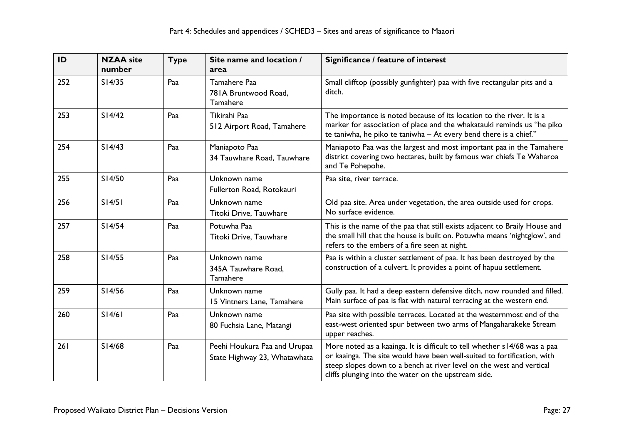| ID  | <b>NZAA</b> site<br>number | <b>Type</b> | Site name and location /<br>area                             | Significance / feature of interest                                                                                                                                                                                                                                                   |
|-----|----------------------------|-------------|--------------------------------------------------------------|--------------------------------------------------------------------------------------------------------------------------------------------------------------------------------------------------------------------------------------------------------------------------------------|
| 252 | S14/35                     | Paa         | Tamahere Paa<br>781A Bruntwood Road,<br>Tamahere             | Small clifftop (possibly gunfighter) paa with five rectangular pits and a<br>ditch.                                                                                                                                                                                                  |
| 253 | S14/42                     | Paa         | Tikirahi Paa<br>512 Airport Road, Tamahere                   | The importance is noted because of its location to the river. It is a<br>marker for association of place and the whakatauki reminds us "he piko<br>te taniwha, he piko te taniwha - At every bend there is a chief."                                                                 |
| 254 | S14/43                     | Paa         | Maniapoto Paa<br>34 Tauwhare Road, Tauwhare                  | Maniapoto Paa was the largest and most important paa in the Tamahere<br>district covering two hectares, built by famous war chiefs Te Waharoa<br>and Te Pohepohe.                                                                                                                    |
| 255 | S14/50                     | Paa         | Unknown name<br>Fullerton Road, Rotokauri                    | Paa site, river terrace.                                                                                                                                                                                                                                                             |
| 256 | S14/51                     | Paa         | Unknown name<br>Titoki Drive, Tauwhare                       | Old paa site. Area under vegetation, the area outside used for crops.<br>No surface evidence.                                                                                                                                                                                        |
| 257 | S14/54                     | Paa         | Potuwha Paa<br>Titoki Drive, Tauwhare                        | This is the name of the paa that still exists adjacent to Braily House and<br>the small hill that the house is built on. Potuwha means 'nightglow', and<br>refers to the embers of a fire seen at night.                                                                             |
| 258 | S14/55                     | Paa         | Unknown name<br>345A Tauwhare Road,<br>Tamahere              | Paa is within a cluster settlement of paa. It has been destroyed by the<br>construction of a culvert. It provides a point of hapuu settlement.                                                                                                                                       |
| 259 | S14/56                     | Paa         | Unknown name<br>15 Vintners Lane, Tamahere                   | Gully paa. It had a deep eastern defensive ditch, now rounded and filled.<br>Main surface of paa is flat with natural terracing at the western end.                                                                                                                                  |
| 260 | S14/61                     | Paa         | Unknown name<br>80 Fuchsia Lane, Matangi                     | Paa site with possible terraces. Located at the westernmost end of the<br>east-west oriented spur between two arms of Mangaharakeke Stream<br>upper reaches.                                                                                                                         |
| 261 | S14/68                     | Paa         | Peehi Houkura Paa and Urupaa<br>State Highway 23, Whatawhata | More noted as a kaainga. It is difficult to tell whether s14/68 was a paa<br>or kaainga. The site would have been well-suited to fortification, with<br>steep slopes down to a bench at river level on the west and vertical<br>cliffs plunging into the water on the upstream side. |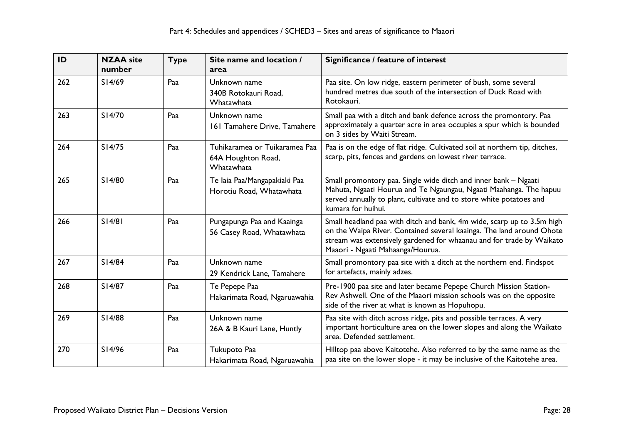| ID  | <b>NZAA</b> site<br>number | <b>Type</b> | Site name and location /<br>area                                  | Significance / feature of interest                                                                                                                                                                                                                         |
|-----|----------------------------|-------------|-------------------------------------------------------------------|------------------------------------------------------------------------------------------------------------------------------------------------------------------------------------------------------------------------------------------------------------|
| 262 | S14/69                     | Paa         | Unknown name<br>340B Rotokauri Road,<br>Whatawhata                | Paa site. On low ridge, eastern perimeter of bush, some several<br>hundred metres due south of the intersection of Duck Road with<br>Rotokauri.                                                                                                            |
| 263 | S14/70                     | Paa         | Unknown name<br>161 Tamahere Drive, Tamahere                      | Small paa with a ditch and bank defence across the promontory. Paa<br>approximately a quarter acre in area occupies a spur which is bounded<br>on 3 sides by Waiti Stream.                                                                                 |
| 264 | S14/75                     | Paa         | Tuhikaramea or Tuikaramea Paa<br>64A Houghton Road,<br>Whatawhata | Paa is on the edge of flat ridge. Cultivated soil at northern tip, ditches,<br>scarp, pits, fences and gardens on lowest river terrace.                                                                                                                    |
| 265 | S14/80                     | Paa         | Te laia Paa/Mangapakiaki Paa<br>Horotiu Road, Whatawhata          | Small promontory paa. Single wide ditch and inner bank - Ngaati<br>Mahuta, Ngaati Hourua and Te Ngaungau, Ngaati Maahanga. The hapuu<br>served annually to plant, cultivate and to store white potatoes and<br>kumara for huihui.                          |
| 266 | S14/81                     | Paa         | Pungapunga Paa and Kaainga<br>56 Casey Road, Whatawhata           | Small headland paa with ditch and bank, 4m wide, scarp up to 3.5m high<br>on the Waipa River. Contained several kaainga. The land around Ohote<br>stream was extensively gardened for whaanau and for trade by Waikato<br>Maaori - Ngaati Mahaanga/Hourua. |
| 267 | S14/84                     | Paa         | Unknown name<br>29 Kendrick Lane, Tamahere                        | Small promontory paa site with a ditch at the northern end. Findspot<br>for artefacts, mainly adzes.                                                                                                                                                       |
| 268 | S14/87                     | Paa         | Te Pepepe Paa<br>Hakarimata Road, Ngaruawahia                     | Pre-1900 paa site and later became Pepepe Church Mission Station-<br>Rev Ashwell. One of the Maaori mission schools was on the opposite<br>side of the river at what is known as Hopuhopu.                                                                 |
| 269 | S14/88                     | Paa         | Unknown name<br>26A & B Kauri Lane, Huntly                        | Paa site with ditch across ridge, pits and possible terraces. A very<br>important horticulture area on the lower slopes and along the Waikato<br>area. Defended settlement.                                                                                |
| 270 | S14/96                     | Paa         | Tukupoto Paa<br>Hakarimata Road, Ngaruawahia                      | Hilltop paa above Kaitotehe. Also referred to by the same name as the<br>paa site on the lower slope - it may be inclusive of the Kaitotehe area.                                                                                                          |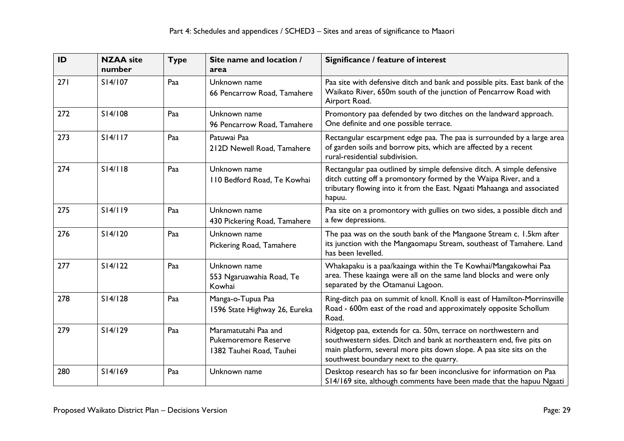| ID  | <b>NZAA</b> site<br>number | <b>Type</b> | Site name and location /<br>area                                                | Significance / feature of interest                                                                                                                                                                                                                      |
|-----|----------------------------|-------------|---------------------------------------------------------------------------------|---------------------------------------------------------------------------------------------------------------------------------------------------------------------------------------------------------------------------------------------------------|
| 271 | S14/107                    | Paa         | Unknown name<br>66 Pencarrow Road, Tamahere                                     | Paa site with defensive ditch and bank and possible pits. East bank of the<br>Waikato River, 650m south of the junction of Pencarrow Road with<br>Airport Road.                                                                                         |
| 272 | S14/108                    | Paa         | Unknown name<br>96 Pencarrow Road, Tamahere                                     | Promontory paa defended by two ditches on the landward approach.<br>One definite and one possible terrace.                                                                                                                                              |
| 273 | S14/117                    | Paa         | Patuwai Paa<br>212D Newell Road, Tamahere                                       | Rectangular escarpment edge paa. The paa is surrounded by a large area<br>of garden soils and borrow pits, which are affected by a recent<br>rural-residential subdivision.                                                                             |
| 274 | S14/118                    | Paa         | Unknown name<br>110 Bedford Road, Te Kowhai                                     | Rectangular paa outlined by simple defensive ditch. A simple defensive<br>ditch cutting off a promontory formed by the Waipa River, and a<br>tributary flowing into it from the East. Ngaati Mahaanga and associated<br>hapuu.                          |
| 275 | S14/119                    | Paa         | Unknown name<br>430 Pickering Road, Tamahere                                    | Paa site on a promontory with gullies on two sides, a possible ditch and<br>a few depressions.                                                                                                                                                          |
| 276 | S14/120                    | Paa         | Unknown name<br>Pickering Road, Tamahere                                        | The paa was on the south bank of the Mangaone Stream c. 1.5km after<br>its junction with the Mangaomapu Stream, southeast of Tamahere. Land<br>has been levelled.                                                                                       |
| 277 | S14/122                    | Paa         | Unknown name<br>553 Ngaruawahia Road, Te<br>Kowhai                              | Whakapaku is a paa/kaainga within the Te Kowhai/Mangakowhai Paa<br>area. These kaainga were all on the same land blocks and were only<br>separated by the Otamanui Lagoon.                                                                              |
| 278 | S14/128                    | Paa         | Manga-o-Tupua Paa<br>1596 State Highway 26, Eureka                              | Ring-ditch paa on summit of knoll. Knoll is east of Hamilton-Morrinsville<br>Road - 600m east of the road and approximately opposite Schollum<br>Road.                                                                                                  |
| 279 | S14/129                    | Paa         | Maramatutahi Paa and<br><b>Pukemoremore Reserve</b><br>1382 Tauhei Road, Tauhei | Ridgetop paa, extends for ca. 50m, terrace on northwestern and<br>southwestern sides. Ditch and bank at northeastern end, five pits on<br>main platform, several more pits down slope. A paa site sits on the<br>southwest boundary next to the quarry. |
| 280 | S14/169                    | Paa         | Unknown name                                                                    | Desktop research has so far been inconclusive for information on Paa<br>S14/169 site, although comments have been made that the hapuu Ngaati                                                                                                            |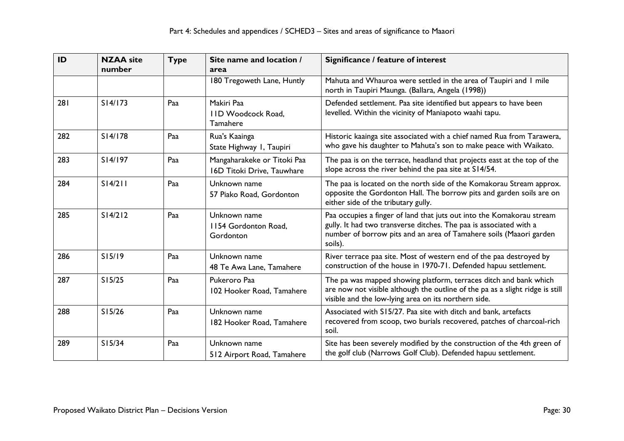| ID  | <b>NZAA</b> site<br>number | <b>Type</b> | Site name and location /<br>area                          | Significance / feature of interest                                                                                                                                                                                           |
|-----|----------------------------|-------------|-----------------------------------------------------------|------------------------------------------------------------------------------------------------------------------------------------------------------------------------------------------------------------------------------|
|     |                            |             | 180 Tregoweth Lane, Huntly                                | Mahuta and Whauroa were settled in the area of Taupiri and I mile<br>north in Taupiri Maunga. (Ballara, Angela (1998))                                                                                                       |
| 281 | S14/173                    | Paa         | Makiri Paa<br><b>IID Woodcock Road,</b><br>Tamahere       | Defended settlement. Paa site identified but appears to have been<br>levelled. Within the vicinity of Maniapoto waahi tapu.                                                                                                  |
| 282 | S14/178                    | Paa         | Rua's Kaainga<br>State Highway I, Taupiri                 | Historic kaainga site associated with a chief named Rua from Tarawera,<br>who gave his daughter to Mahuta's son to make peace with Waikato.                                                                                  |
| 283 | S14/197                    | Paa         | Mangaharakeke or Titoki Paa<br>16D Titoki Drive, Tauwhare | The paa is on the terrace, headland that projects east at the top of the<br>slope across the river behind the paa site at S14/54.                                                                                            |
| 284 | S14/211                    | Paa         | Unknown name<br>57 Piako Road, Gordonton                  | The paa is located on the north side of the Komakorau Stream approx.<br>opposite the Gordonton Hall. The borrow pits and garden soils are on<br>either side of the tributary gully.                                          |
| 285 | S14/212                    | Paa         | Unknown name<br>1154 Gordonton Road,<br>Gordonton         | Paa occupies a finger of land that juts out into the Komakorau stream<br>gully. It had two transverse ditches. The paa is associated with a<br>number of borrow pits and an area of Tamahere soils (Maaori garden<br>soils). |
| 286 | S15/19                     | Paa         | Unknown name<br>48 Te Awa Lane, Tamahere                  | River terrace paa site. Most of western end of the paa destroyed by<br>construction of the house in 1970-71. Defended hapuu settlement.                                                                                      |
| 287 | S15/25                     | Paa         | Pukeroro Paa<br>102 Hooker Road, Tamahere                 | The pa was mapped showing platform, terraces ditch and bank which<br>are now not visible although the outline of the pa as a slight ridge is still<br>visible and the low-lying area on its northern side.                   |
| 288 | S15/26                     | Paa         | Unknown name<br>182 Hooker Road, Tamahere                 | Associated with S15/27. Paa site with ditch and bank, artefacts<br>recovered from scoop, two burials recovered, patches of charcoal-rich<br>soil.                                                                            |
| 289 | S15/34                     | Paa         | Unknown name<br>512 Airport Road, Tamahere                | Site has been severely modified by the construction of the 4th green of<br>the golf club (Narrows Golf Club). Defended hapuu settlement.                                                                                     |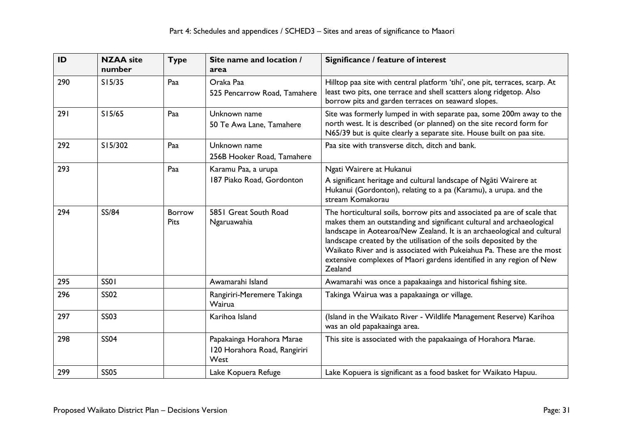| ID  | <b>NZAA site</b><br>number | <b>Type</b>                  | Site name and location /<br>area                                  | Significance / feature of interest                                                                                                                                                                                                                                                                                                                                                                                                                             |
|-----|----------------------------|------------------------------|-------------------------------------------------------------------|----------------------------------------------------------------------------------------------------------------------------------------------------------------------------------------------------------------------------------------------------------------------------------------------------------------------------------------------------------------------------------------------------------------------------------------------------------------|
| 290 | S15/35                     | Paa                          | Oraka Paa<br>525 Pencarrow Road, Tamahere                         | Hilltop paa site with central platform 'tihi', one pit, terraces, scarp. At<br>least two pits, one terrace and shell scatters along ridgetop. Also<br>borrow pits and garden terraces on seaward slopes.                                                                                                                                                                                                                                                       |
| 291 | S15/65                     | Paa                          | Unknown name<br>50 Te Awa Lane, Tamahere                          | Site was formerly lumped in with separate paa, some 200m away to the<br>north west. It is described (or planned) on the site record form for<br>N65/39 but is quite clearly a separate site. House built on paa site.                                                                                                                                                                                                                                          |
| 292 | S15/302                    | Paa                          | Unknown name<br>256B Hooker Road, Tamahere                        | Paa site with transverse ditch, ditch and bank.                                                                                                                                                                                                                                                                                                                                                                                                                |
| 293 |                            | Paa                          | Karamu Paa, a urupa<br>187 Piako Road, Gordonton                  | Ngati Wairere at Hukanui<br>A significant heritage and cultural landscape of Ngati Wairere at<br>Hukanui (Gordonton), relating to a pa (Karamu), a urupa. and the<br>stream Komakorau                                                                                                                                                                                                                                                                          |
| 294 | <b>SS/84</b>               | <b>Borrow</b><br><b>Pits</b> | 5851 Great South Road<br>Ngaruawahia                              | The horticultural soils, borrow pits and associated pa are of scale that<br>makes them an outstanding and significant cultural and archaeological<br>landscape in Aotearoa/New Zealand. It is an archaeological and cultural<br>landscape created by the utilisation of the soils deposited by the<br>Waikato River and is associated with Pukeiahua Pa. These are the most<br>extensive complexes of Maori gardens identified in any region of New<br>Zealand |
| 295 | <b>SS01</b>                |                              | Awamarahi Island                                                  | Awamarahi was once a papakaainga and historical fishing site.                                                                                                                                                                                                                                                                                                                                                                                                  |
| 296 | <b>SS02</b>                |                              | Rangiriri-Meremere Takinga<br>Wairua                              | Takinga Wairua was a papakaainga or village.                                                                                                                                                                                                                                                                                                                                                                                                                   |
| 297 | <b>SS03</b>                |                              | Karihoa Island                                                    | (Island in the Waikato River - Wildlife Management Reserve) Karihoa<br>was an old papakaainga area.                                                                                                                                                                                                                                                                                                                                                            |
| 298 | <b>SS04</b>                |                              | Papakainga Horahora Marae<br>120 Horahora Road, Rangiriri<br>West | This site is associated with the papakaainga of Horahora Marae.                                                                                                                                                                                                                                                                                                                                                                                                |
| 299 | <b>SS05</b>                |                              | Lake Kopuera Refuge                                               | Lake Kopuera is significant as a food basket for Waikato Hapuu.                                                                                                                                                                                                                                                                                                                                                                                                |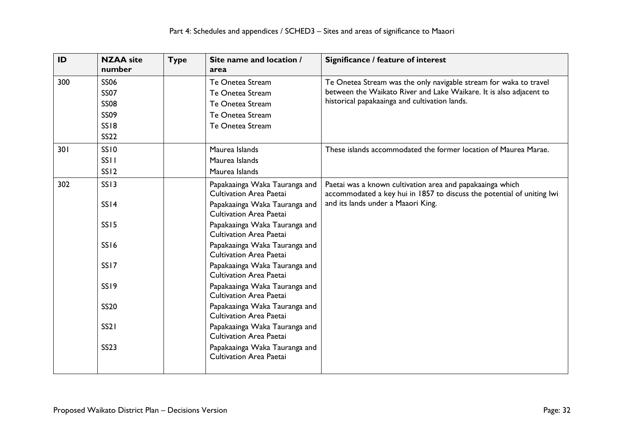| ID  | <b>NZAA</b> site<br>number | Type | Site name and location /<br>area                                | Significance / feature of interest                                     |
|-----|----------------------------|------|-----------------------------------------------------------------|------------------------------------------------------------------------|
| 300 | <b>SS06</b>                |      | Te Onetea Stream                                                | Te Onetea Stream was the only navigable stream for waka to travel      |
|     | <b>SS07</b>                |      | Te Onetea Stream                                                | between the Waikato River and Lake Waikare. It is also adjacent to     |
|     | <b>SS08</b>                |      | Te Onetea Stream                                                | historical papakaainga and cultivation lands.                          |
|     | <b>SS09</b>                |      | Te Onetea Stream                                                |                                                                        |
|     | <b>SS18</b>                |      | Te Onetea Stream                                                |                                                                        |
|     | <b>SS22</b>                |      |                                                                 |                                                                        |
| 301 | <b>SS10</b>                |      | Maurea Islands                                                  | These islands accommodated the former location of Maurea Marae.        |
|     | SS <sub>II</sub>           |      | Maurea Islands                                                  |                                                                        |
|     | SS <sub>12</sub>           |      | Maurea Islands                                                  |                                                                        |
| 302 | <b>SS13</b>                |      | Papakaainga Waka Tauranga and                                   | Paetai was a known cultivation area and papakaainga which              |
|     |                            |      | <b>Cultivation Area Paetai</b>                                  | accommodated a key hui in 1857 to discuss the potential of uniting lwi |
|     | SSI4                       |      | Papakaainga Waka Tauranga and                                   | and its lands under a Maaori King.                                     |
|     |                            |      | <b>Cultivation Area Paetai</b>                                  |                                                                        |
|     | <b>SS15</b>                |      | Papakaainga Waka Tauranga and                                   |                                                                        |
|     |                            |      | Cultivation Area Paetai                                         |                                                                        |
|     | <b>SS16</b>                |      | Papakaainga Waka Tauranga and<br><b>Cultivation Area Paetai</b> |                                                                        |
|     | SS <sub>17</sub>           |      | Papakaainga Waka Tauranga and                                   |                                                                        |
|     |                            |      | Cultivation Area Paetai                                         |                                                                        |
|     | SS <sub>19</sub>           |      | Papakaainga Waka Tauranga and                                   |                                                                        |
|     |                            |      | <b>Cultivation Area Paetai</b>                                  |                                                                        |
|     | <b>SS20</b>                |      | Papakaainga Waka Tauranga and                                   |                                                                        |
|     |                            |      | <b>Cultivation Area Paetai</b>                                  |                                                                        |
|     | <b>SS21</b>                |      | Papakaainga Waka Tauranga and                                   |                                                                        |
|     |                            |      | Cultivation Area Paetai                                         |                                                                        |
|     | <b>SS23</b>                |      | Papakaainga Waka Tauranga and                                   |                                                                        |
|     |                            |      | <b>Cultivation Area Paetai</b>                                  |                                                                        |
|     |                            |      |                                                                 |                                                                        |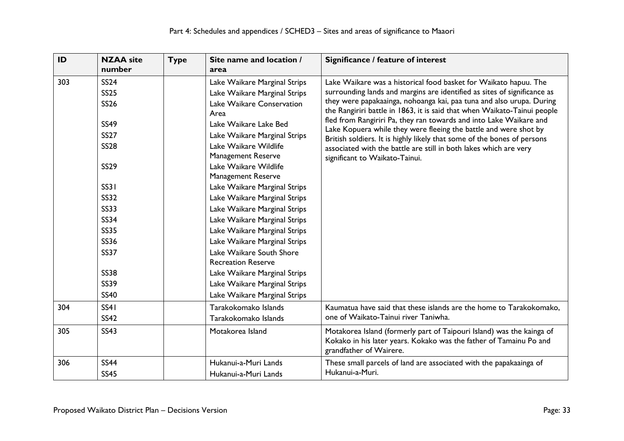| ID  | <b>NZAA</b> site<br>number                                                                                                                                                                                                                                  | <b>Type</b> | Site name and location /<br>area                                                                                                                                                                                                                                                                                                                                                                                                                                                                                                                                                                                         | Significance / feature of interest                                                                                                                                                                                                                                                                                                                                                                                                                                                                                                                                                                                           |
|-----|-------------------------------------------------------------------------------------------------------------------------------------------------------------------------------------------------------------------------------------------------------------|-------------|--------------------------------------------------------------------------------------------------------------------------------------------------------------------------------------------------------------------------------------------------------------------------------------------------------------------------------------------------------------------------------------------------------------------------------------------------------------------------------------------------------------------------------------------------------------------------------------------------------------------------|------------------------------------------------------------------------------------------------------------------------------------------------------------------------------------------------------------------------------------------------------------------------------------------------------------------------------------------------------------------------------------------------------------------------------------------------------------------------------------------------------------------------------------------------------------------------------------------------------------------------------|
| 303 | <b>SS24</b><br><b>SS25</b><br><b>SS26</b><br><b>SS49</b><br><b>SS27</b><br><b>SS28</b><br><b>SS29</b><br><b>SS31</b><br><b>SS32</b><br><b>SS33</b><br><b>SS34</b><br><b>SS35</b><br><b>SS36</b><br><b>SS37</b><br><b>SS38</b><br><b>SS39</b><br><b>SS40</b> |             | Lake Waikare Marginal Strips<br>Lake Waikare Marginal Strips<br>Lake Waikare Conservation<br>Area<br>Lake Waikare Lake Bed<br>Lake Waikare Marginal Strips<br>Lake Waikare Wildlife<br>Management Reserve<br>Lake Waikare Wildlife<br><b>Management Reserve</b><br>Lake Waikare Marginal Strips<br>Lake Waikare Marginal Strips<br>Lake Waikare Marginal Strips<br>Lake Waikare Marginal Strips<br>Lake Waikare Marginal Strips<br>Lake Waikare Marginal Strips<br>Lake Waikare South Shore<br><b>Recreation Reserve</b><br>Lake Waikare Marginal Strips<br>Lake Waikare Marginal Strips<br>Lake Waikare Marginal Strips | Lake Waikare was a historical food basket for Waikato hapuu. The<br>surrounding lands and margins are identified as sites of significance as<br>they were papakaainga, nohoanga kai, paa tuna and also urupa. During<br>the Rangiriri battle in 1863, it is said that when Waikato-Tainui people<br>fled from Rangiriri Pa, they ran towards and into Lake Waikare and<br>Lake Kopuera while they were fleeing the battle and were shot by<br>British soldiers. It is highly likely that some of the bones of persons<br>associated with the battle are still in both lakes which are very<br>significant to Waikato-Tainui. |
| 304 | SS41<br><b>SS42</b>                                                                                                                                                                                                                                         |             | Tarakokomako Islands<br>Tarakokomako Islands                                                                                                                                                                                                                                                                                                                                                                                                                                                                                                                                                                             | Kaumatua have said that these islands are the home to Tarakokomako,<br>one of Waikato-Tainui river Taniwha.                                                                                                                                                                                                                                                                                                                                                                                                                                                                                                                  |
| 305 | <b>SS43</b>                                                                                                                                                                                                                                                 |             | Motakorea Island                                                                                                                                                                                                                                                                                                                                                                                                                                                                                                                                                                                                         | Motakorea Island (formerly part of Taipouri Island) was the kainga of<br>Kokako in his later years. Kokako was the father of Tamainu Po and<br>grandfather of Wairere.                                                                                                                                                                                                                                                                                                                                                                                                                                                       |
| 306 | <b>SS44</b><br><b>SS45</b>                                                                                                                                                                                                                                  |             | Hukanui-a-Muri Lands<br>Hukanui-a-Muri Lands                                                                                                                                                                                                                                                                                                                                                                                                                                                                                                                                                                             | These small parcels of land are associated with the papakaainga of<br>Hukanui-a-Muri.                                                                                                                                                                                                                                                                                                                                                                                                                                                                                                                                        |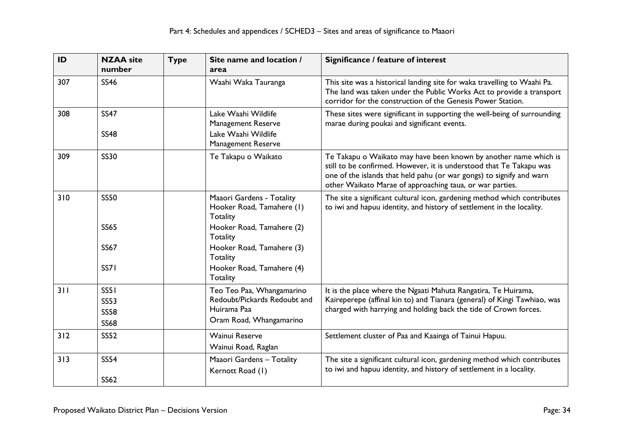| ID  | <b>NZAA</b> site<br>number | <b>Type</b> | Site name and location /<br>area                                        | Significance / feature of interest                                                                                                                                                                                                                                          |
|-----|----------------------------|-------------|-------------------------------------------------------------------------|-----------------------------------------------------------------------------------------------------------------------------------------------------------------------------------------------------------------------------------------------------------------------------|
| 307 | <b>SS46</b>                |             | Waahi Waka Tauranga                                                     | This site was a historical landing site for waka travelling to Waahi Pa.<br>The land was taken under the Public Works Act to provide a transport<br>corridor for the construction of the Genesis Power Station.                                                             |
| 308 | <b>SS47</b><br><b>SS48</b> |             | Lake Waahi Wildlife<br><b>Management Reserve</b><br>Lake Waahi Wildlife | These sites were significant in supporting the well-being of surrounding<br>marae during poukai and significant events.                                                                                                                                                     |
|     |                            |             | <b>Management Reserve</b>                                               |                                                                                                                                                                                                                                                                             |
| 309 | <b>SS30</b>                |             | Te Takapu o Waikato                                                     | Te Takapu o Waikato may have been known by another name which is<br>still to be confirmed. However, it is understood that Te Takapu was<br>one of the islands that held pahu (or war gongs) to signify and warn<br>other Waikato Marae of approaching taua, or war parties. |
| 310 | <b>SS50</b>                |             | Maaori Gardens - Totality<br>Hooker Road, Tamahere (1)<br>Totality      | The site a significant cultural icon, gardening method which contributes<br>to iwi and hapuu identity, and history of settlement in the locality.                                                                                                                           |
|     | <b>SS65</b>                |             | Hooker Road, Tamahere (2)<br><b>Totality</b>                            |                                                                                                                                                                                                                                                                             |
|     | <b>SS67</b>                |             | Hooker Road, Tamahere (3)<br><b>Totality</b>                            |                                                                                                                                                                                                                                                                             |
|     | <b>SS71</b>                |             | Hooker Road, Tamahere (4)<br><b>Totality</b>                            |                                                                                                                                                                                                                                                                             |
| 311 | SS51<br><b>SS53</b>        |             | Teo Teo Paa, Whangamarino<br>Redoubt/Pickards Redoubt and               | It is the place where the Ngaati Mahuta Rangatira, Te Huirama,<br>Kaireperepe (affinal kin to) and Tianara (general) of Kingi Tawhiao, was                                                                                                                                  |
|     | <b>SS58</b>                |             | Huirama Paa                                                             | charged with harrying and holding back the tide of Crown forces.                                                                                                                                                                                                            |
|     | <b>SS68</b>                |             | Oram Road, Whangamarino                                                 |                                                                                                                                                                                                                                                                             |
| 312 | <b>SS52</b>                |             | <b>Wainui Reserve</b>                                                   | Settlement cluster of Paa and Kaainga of Tainui Hapuu.                                                                                                                                                                                                                      |
|     |                            |             | Wainui Road, Raglan                                                     |                                                                                                                                                                                                                                                                             |
| 313 | <b>SS54</b><br><b>SS62</b> |             | Maaori Gardens - Totality<br>Kernott Road (1)                           | The site a significant cultural icon, gardening method which contributes<br>to iwi and hapuu identity, and history of settlement in a locality.                                                                                                                             |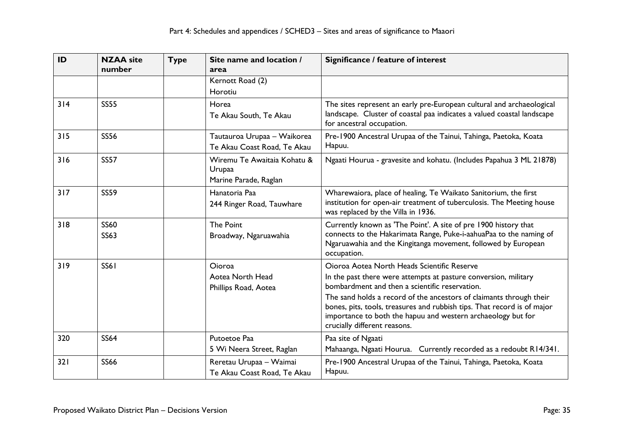| ID  | <b>NZAA</b> site<br>number | <b>Type</b> | Site name and location /<br>area                               | Significance / feature of interest                                                                                                                                                                                                                                                                                                                                                                                 |
|-----|----------------------------|-------------|----------------------------------------------------------------|--------------------------------------------------------------------------------------------------------------------------------------------------------------------------------------------------------------------------------------------------------------------------------------------------------------------------------------------------------------------------------------------------------------------|
|     |                            |             | Kernott Road (2)<br>Horotiu                                    |                                                                                                                                                                                                                                                                                                                                                                                                                    |
| 314 | <b>SS55</b>                |             | Horea<br>Te Akau South, Te Akau                                | The sites represent an early pre-European cultural and archaeological<br>landscape. Cluster of coastal paa indicates a valued coastal landscape<br>for ancestral occupation.                                                                                                                                                                                                                                       |
| 315 | <b>SS56</b>                |             | Tautauroa Urupaa - Waikorea<br>Te Akau Coast Road, Te Akau     | Pre-1900 Ancestral Urupaa of the Tainui, Tahinga, Paetoka, Koata<br>Hapuu.                                                                                                                                                                                                                                                                                                                                         |
| 316 | <b>SS57</b>                |             | Wiremu Te Awaitaia Kohatu &<br>Urupaa<br>Marine Parade, Raglan | Ngaati Hourua - gravesite and kohatu. (Includes Papahua 3 ML 21878)                                                                                                                                                                                                                                                                                                                                                |
| 317 | <b>SS59</b>                |             | Hanatoria Paa<br>244 Ringer Road, Tauwhare                     | Wharewaiora, place of healing, Te Waikato Sanitorium, the first<br>institution for open-air treatment of tuberculosis. The Meeting house<br>was replaced by the Villa in 1936.                                                                                                                                                                                                                                     |
| 318 | <b>SS60</b><br><b>SS63</b> |             | <b>The Point</b><br>Broadway, Ngaruawahia                      | Currently known as 'The Point'. A site of pre 1900 history that<br>connects to the Hakarimata Range, Puke-i-aahuaPaa to the naming of<br>Ngaruawahia and the Kingitanga movement, followed by European<br>occupation.                                                                                                                                                                                              |
| 319 | <b>SS61</b>                |             | <b>Oioroa</b><br>Aotea North Head<br>Phillips Road, Aotea      | Oioroa Aotea North Heads Scientific Reserve<br>In the past there were attempts at pasture conversion, military<br>bombardment and then a scientific reservation.<br>The sand holds a record of the ancestors of claimants through their<br>bones, pits, tools, treasures and rubbish tips. That record is of major<br>importance to both the hapuu and western archaeology but for<br>crucially different reasons. |
| 320 | <b>SS64</b>                |             | Putoetoe Paa<br>5 Wi Neera Street, Raglan                      | Paa site of Ngaati<br>Mahaanga, Ngaati Hourua. Currently recorded as a redoubt R14/341.                                                                                                                                                                                                                                                                                                                            |
| 321 | <b>SS66</b>                |             | Reretau Urupaa - Waimai<br>Te Akau Coast Road, Te Akau         | Pre-1900 Ancestral Urupaa of the Tainui, Tahinga, Paetoka, Koata<br>Hapuu.                                                                                                                                                                                                                                                                                                                                         |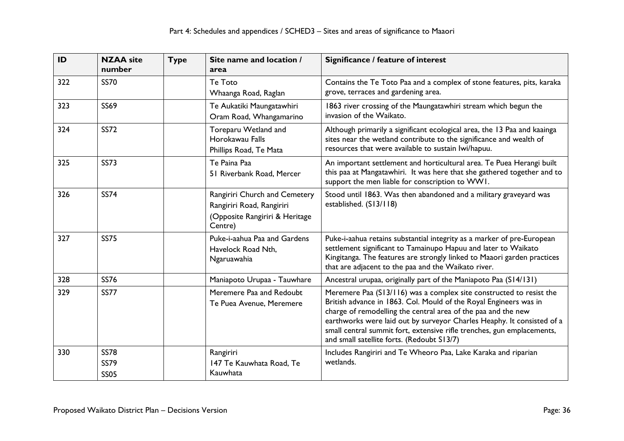| ID  | <b>NZAA</b> site<br>number                | <b>Type</b> | Site name and location /<br>area                                                                        | Significance / feature of interest                                                                                                                                                                                                                                                                                                                                                                          |
|-----|-------------------------------------------|-------------|---------------------------------------------------------------------------------------------------------|-------------------------------------------------------------------------------------------------------------------------------------------------------------------------------------------------------------------------------------------------------------------------------------------------------------------------------------------------------------------------------------------------------------|
| 322 | <b>SS70</b>                               |             | Te Toto<br>Whaanga Road, Raglan                                                                         | Contains the Te Toto Paa and a complex of stone features, pits, karaka<br>grove, terraces and gardening area.                                                                                                                                                                                                                                                                                               |
| 323 | <b>SS69</b>                               |             | Te Aukatiki Maungatawhiri<br>Oram Road, Whangamarino                                                    | 1863 river crossing of the Maungatawhiri stream which begun the<br>invasion of the Waikato.                                                                                                                                                                                                                                                                                                                 |
| 324 | <b>SS72</b>                               |             | Toreparu Wetland and<br>Horokawau Falls<br>Phillips Road, Te Mata                                       | Although primarily a significant ecological area, the 13 Paa and kaainga<br>sites near the wetland contribute to the significance and wealth of<br>resources that were available to sustain lwi/hapuu.                                                                                                                                                                                                      |
| 325 | <b>SS73</b>                               |             | Te Paina Paa<br>51 Riverbank Road, Mercer                                                               | An important settlement and horticultural area. Te Puea Herangi built<br>this paa at Mangatawhiri. It was here that she gathered together and to<br>support the men liable for conscription to WWI.                                                                                                                                                                                                         |
| 326 | <b>SS74</b>                               |             | Rangiriri Church and Cemetery<br>Rangiriri Road, Rangiriri<br>(Opposite Rangiriri & Heritage<br>Centre) | Stood until 1863. Was then abandoned and a military graveyard was<br>established. (S13/118)                                                                                                                                                                                                                                                                                                                 |
| 327 | <b>SS75</b>                               |             | Puke-i-aahua Paa and Gardens<br>Havelock Road Nth,<br>Ngaruawahia                                       | Puke-i-aahua retains substantial integrity as a marker of pre-European<br>settlement significant to Tamainupo Hapuu and later to Waikato<br>Kingitanga. The features are strongly linked to Maaori garden practices<br>that are adjacent to the paa and the Waikato river.                                                                                                                                  |
| 328 | <b>SS76</b>                               |             | Maniapoto Urupaa - Tauwhare                                                                             | Ancestral urupaa, originally part of the Maniapoto Paa (S14/131)                                                                                                                                                                                                                                                                                                                                            |
| 329 | <b>SS77</b>                               |             | Meremere Paa and Redoubt<br>Te Puea Avenue, Meremere                                                    | Meremere Paa (S13/116) was a complex site constructed to resist the<br>British advance in 1863. Col. Mould of the Royal Engineers was in<br>charge of remodelling the central area of the paa and the new<br>earthworks were laid out by surveyor Charles Heaphy. It consisted of a<br>small central summit fort, extensive rifle trenches, gun emplacements,<br>and small satellite forts. (Redoubt S13/7) |
| 330 | <b>SS78</b><br><b>SS79</b><br><b>SS05</b> |             | Rangiriri<br>147 Te Kauwhata Road, Te<br>Kauwhata                                                       | Includes Rangiriri and Te Wheoro Paa, Lake Karaka and riparian<br>wetlands.                                                                                                                                                                                                                                                                                                                                 |